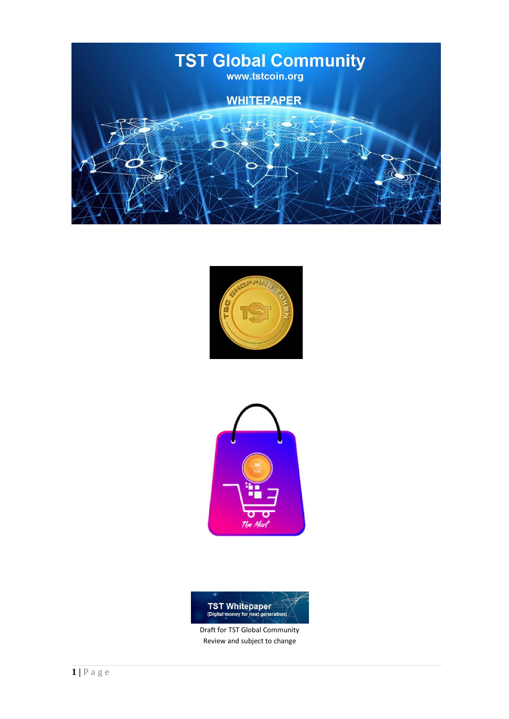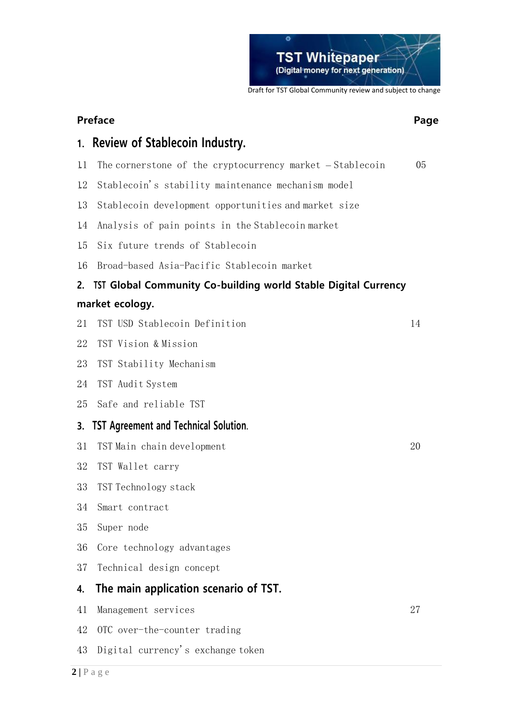

# **Preface Page**

# **1. Review of Stablecoin Industry.**

- 1.1 The cornerstone of the cryptocurrency market Stablecoin 05
- 1.2 Stablecoin's stability maintenance mechanism model
- 1.3 Stablecoin development opportunities and market size
- 1.4 Analysis of pain points in the Stablecoin market
- 1.5 Six future trends of Stablecoin
- 1.6 Broad-based Asia-Pacific Stablecoin market

# **2. TST Global Community Co-building world Stable Digital Currency market ecology.**

- 2.1 TST USD Stablecoin Definition 14
- 22 TST Vision & Mission
- 2.3 TST Stability Mechanism
- 24 TST Audit System
- 25 Safe and reliable TST
- **3. TST Agreement and Technical Solution.**
- 3.1 TST Main chain development 20
- 3.2 TST Wallet carry
- 3.3 TST Technology stack
- 34 Smart contract
- 3.5 Super node
- 3.6 Core technology advantages
- 3.7 Technical design concept
- **4. The main application scenario of TST.**
- 4.1 Management services 27
	- 42 OTC over-the-counter trading
	- 4.3 Digital currency's exchange token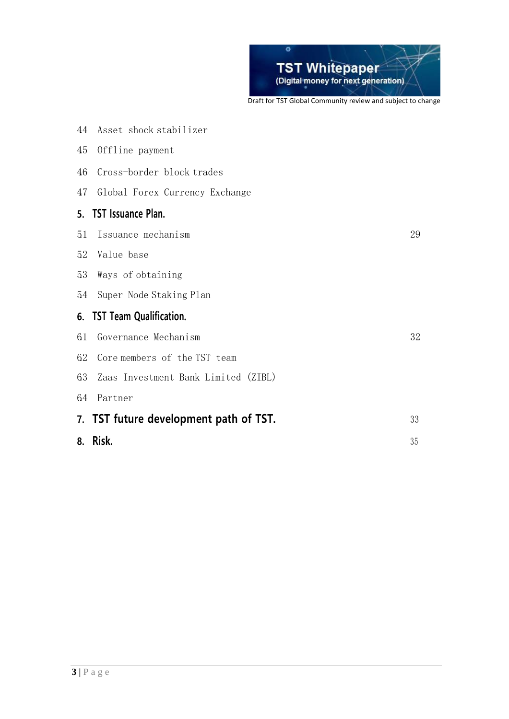

|    | 8. Risk.                               | 35 |
|----|----------------------------------------|----|
|    | 7. TST future development path of TST. | 33 |
| 64 | Partner                                |    |
| 63 | Zaas Investment Bank Limited (ZIBL)    |    |
| 62 | Core members of the TST team           |    |
| 61 | Governance Mechanism                   | 32 |
|    | 6. TST Team Qualification.             |    |
| 54 | Super Node Staking Plan                |    |
| 53 | Ways of obtaining                      |    |
| 52 | Value base                             |    |
| 51 | Issuance mechanism                     | 29 |
|    | 5. TST Issuance Plan.                  |    |
| 47 | Global Forex Currency Exchange         |    |
| 46 | Cross-border block trades              |    |
| 45 | Offline payment                        |    |
| 44 | Asset shock stabilizer                 |    |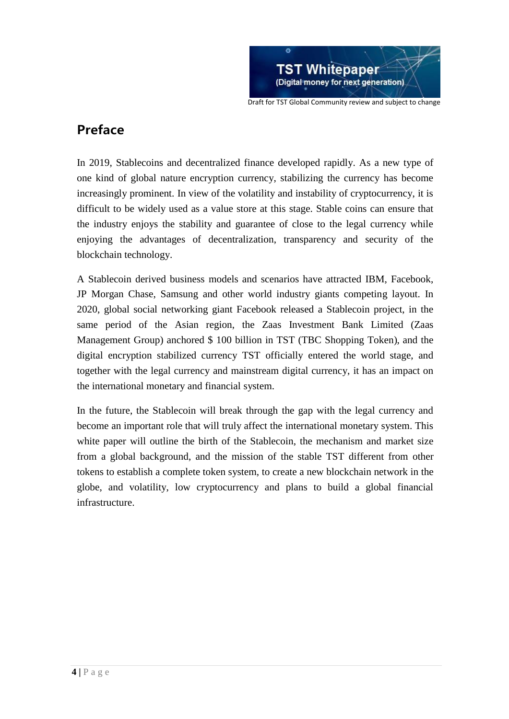

# **Preface**

In 2019, Stablecoins and decentralized finance developed rapidly. As a new type of one kind of global nature encryption currency, stabilizing the currency has become increasingly prominent. In view of the volatility and instability of cryptocurrency, it is difficult to be widely used as a value store at this stage. Stable coins can ensure that the industry enjoys the stability and guarantee of close to the legal currency while enjoying the advantages of decentralization, transparency and security of the blockchain technology.

A Stablecoin derived business models and scenarios have attracted IBM, Facebook, JP Morgan Chase, Samsung and other world industry giants competing layout. In 2020, global social networking giant Facebook released a Stablecoin project, in the same period of the Asian region, the Zaas Investment Bank Limited (Zaas Management Group) anchored \$ 100 billion in TST (TBC Shopping Token), and the digital encryption stabilized currency TST officially entered the world stage, and together with the legal currency and mainstream digital currency, it has an impact on the international monetary and financial system.

In the future, the Stablecoin will break through the gap with the legal currency and become an important role that will truly affect the international monetary system. This white paper will outline the birth of the Stablecoin, the mechanism and market size from a global background, and the mission of the stable TST different from other tokens to establish a complete token system, to create a new blockchain network in the globe, and volatility, low cryptocurrency and plans to build a global financial infrastructure.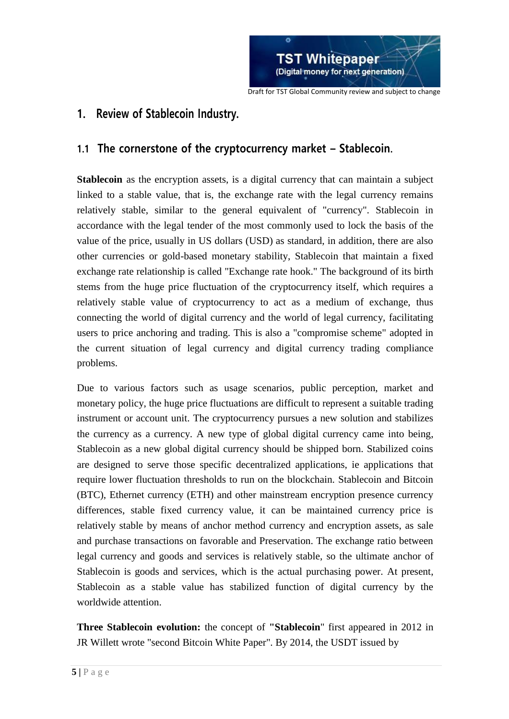

# **1. Review of Stablecoin Industry.**

# **1.1 The cornerstone of the cryptocurrency market – Stablecoin.**

**Stablecoin** as the encryption assets, is a digital currency that can maintain a subject linked to a stable value, that is, the exchange rate with the legal currency remains relatively stable, similar to the general equivalent of "currency". Stablecoin in accordance with the legal tender of the most commonly used to lock the basis of the value of the price, usually in US dollars (USD) as standard, in addition, there are also other currencies or gold-based monetary stability, Stablecoin that maintain a fixed exchange rate relationship is called "Exchange rate hook." The background of its birth stems from the huge price fluctuation of the cryptocurrency itself, which requires a relatively stable value of cryptocurrency to act as a medium of exchange, thus connecting the world of digital currency and the world of legal currency, facilitating users to price anchoring and trading. This is also a "compromise scheme" adopted in the current situation of legal currency and digital currency trading compliance problems.

Due to various factors such as usage scenarios, public perception, market and monetary policy, the huge price fluctuations are difficult to represent a suitable trading instrument or account unit. The cryptocurrency pursues a new solution and stabilizes the currency as a currency. A new type of global digital currency came into being, Stablecoin as a new global digital currency should be shipped born. Stabilized coins are designed to serve those specific decentralized applications, ie applications that require lower fluctuation thresholds to run on the blockchain. Stablecoin and Bitcoin (BTC), Ethernet currency (ETH) and other mainstream encryption presence currency differences, stable fixed currency value, it can be maintained currency price is relatively stable by means of anchor method currency and encryption assets, as sale and purchase transactions on favorable and Preservation. The exchange ratio between legal currency and goods and services is relatively stable, so the ultimate anchor of Stablecoin is goods and services, which is the actual purchasing power. At present, Stablecoin as a stable value has stabilized function of digital currency by the worldwide attention.

**Three Stablecoin evolution:** the concept of **"Stablecoin**" first appeared in 2012 in JR Willett wrote "second Bitcoin White Paper". By 2014, the USDT issued by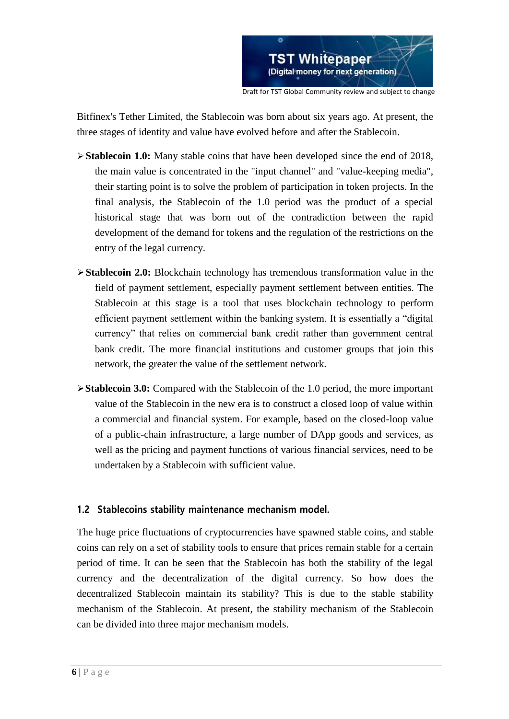

Bitfinex's Tether Limited, the Stablecoin was born about six years ago. At present, the three stages of identity and value have evolved before and after the Stablecoin.

- **Stablecoin 1.0:** Many stable coins that have been developed since the end of 2018, the main value is concentrated in the "input channel" and "value-keeping media", their starting point is to solve the problem of participation in token projects. In the final analysis, the Stablecoin of the 1.0 period was the product of a special historical stage that was born out of the contradiction between the rapid development of the demand for tokens and the regulation of the restrictions on the entry of the legal currency.
- **Stablecoin 2.0:** Blockchain technology has tremendous transformation value in the field of payment settlement, especially payment settlement between entities. The Stablecoin at this stage is a tool that uses blockchain technology to perform efficient payment settlement within the banking system. It is essentially a "digital currency" that relies on commercial bank credit rather than government central bank credit. The more financial institutions and customer groups that join this network, the greater the value of the settlement network.
- **Stablecoin 3.0:** Compared with the Stablecoin of the 1.0 period, the more important value of the Stablecoin in the new era is to construct a closed loop of value within a commercial and financial system. For example, based on the closed-loop value of a public-chain infrastructure, a large number of DApp goods and services, as well as the pricing and payment functions of various financial services, need to be undertaken by a Stablecoin with sufficient value.

# **1.2 Stablecoins stability maintenance mechanism model.**

The huge price fluctuations of cryptocurrencies have spawned stable coins, and stable coins can rely on a set of stability tools to ensure that prices remain stable for a certain period of time. It can be seen that the Stablecoin has both the stability of the legal currency and the decentralization of the digital currency. So how does the decentralized Stablecoin maintain its stability? This is due to the stable stability mechanism of the Stablecoin. At present, the stability mechanism of the Stablecoin can be divided into three major mechanism models.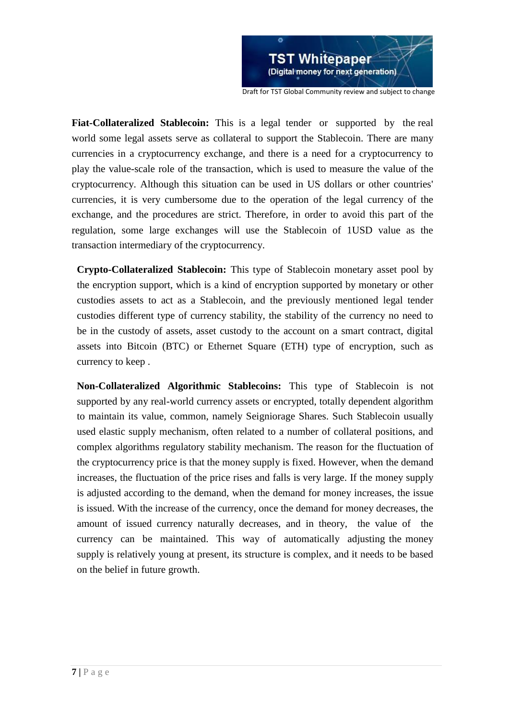

**Fiat-Collateralized Stablecoin:** This is a legal tender or supported by the real world some legal assets serve as collateral to support the Stablecoin. There are many currencies in a cryptocurrency exchange, and there is a need for a cryptocurrency to play the value-scale role of the transaction, which is used to measure the value of the cryptocurrency. Although this situation can be used in US dollars or other countries' currencies, it is very cumbersome due to the operation of the legal currency of the exchange, and the procedures are strict. Therefore, in order to avoid this part of the regulation, some large exchanges will use the Stablecoin of 1USD value as the transaction intermediary of the cryptocurrency.

**Crypto-Collateralized Stablecoin:** This type of Stablecoin monetary asset pool by the encryption support, which is a kind of encryption supported by monetary or other custodies assets to act as a Stablecoin, and the previously mentioned legal tender custodies different type of currency stability, the stability of the currency no need to be in the custody of assets, asset custody to the account on a smart contract, digital assets into Bitcoin (BTC) or Ethernet Square (ETH) type of encryption, such as currency to keep .

**Non-Collateralized Algorithmic Stablecoins:** This type of Stablecoin is not supported by any real-world currency assets or encrypted, totally dependent algorithm to maintain its value, common, namely Seigniorage Shares. Such Stablecoin usually used elastic supply mechanism, often related to a number of collateral positions, and complex algorithms regulatory stability mechanism. The reason for the fluctuation of the cryptocurrency price is that the money supply is fixed. However, when the demand increases, the fluctuation of the price rises and falls is very large. If the money supply is adjusted according to the demand, when the demand for money increases, the issue is issued. With the increase of the currency, once the demand for money decreases, the amount of issued currency naturally decreases, and in theory, the value of the currency can be maintained. This way of automatically adjusting the money supply is relatively young at present, its structure is complex, and it needs to be based on the belief in future growth.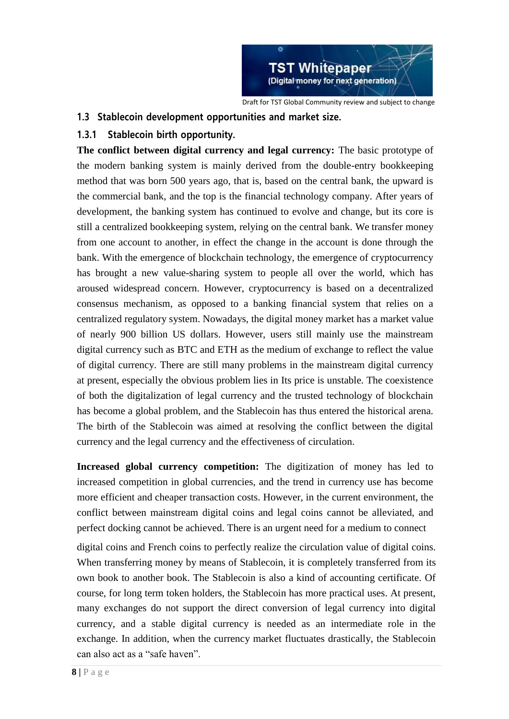

### **1.3 Stablecoin development opportunities and market size.**

# **1.3.1 Stablecoin birth opportunity.**

**The conflict between digital currency and legal currency:** The basic prototype of the modern banking system is mainly derived from the double-entry bookkeeping method that was born 500 years ago, that is, based on the central bank, the upward is the commercial bank, and the top is the financial technology company. After years of development, the banking system has continued to evolve and change, but its core is still a centralized bookkeeping system, relying on the central bank. We transfer money from one account to another, in effect the change in the account is done through the bank. With the emergence of blockchain technology, the emergence of cryptocurrency has brought a new value-sharing system to people all over the world, which has aroused widespread concern. However, cryptocurrency is based on a decentralized consensus mechanism, as opposed to a banking financial system that relies on a centralized regulatory system. Nowadays, the digital money market has a market value of nearly 900 billion US dollars. However, users still mainly use the mainstream digital currency such as BTC and ETH as the medium of exchange to reflect the value of digital currency. There are still many problems in the mainstream digital currency at present, especially the obvious problem lies in Its price is unstable. The coexistence of both the digitalization of legal currency and the trusted technology of blockchain has become a global problem, and the Stablecoin has thus entered the historical arena. The birth of the Stablecoin was aimed at resolving the conflict between the digital currency and the legal currency and the effectiveness of circulation.

**Increased global currency competition:** The digitization of money has led to increased competition in global currencies, and the trend in currency use has become more efficient and cheaper transaction costs. However, in the current environment, the conflict between mainstream digital coins and legal coins cannot be alleviated, and perfect docking cannot be achieved. There is an urgent need for a medium to connect

digital coins and French coins to perfectly realize the circulation value of digital coins. When transferring money by means of Stablecoin, it is completely transferred from its own book to another book. The Stablecoin is also a kind of accounting certificate. Of course, for long term token holders, the Stablecoin has more practical uses. At present, many exchanges do not support the direct conversion of legal currency into digital currency, and a stable digital currency is needed as an intermediate role in the exchange. In addition, when the currency market fluctuates drastically, the Stablecoin can also act as a "safe haven".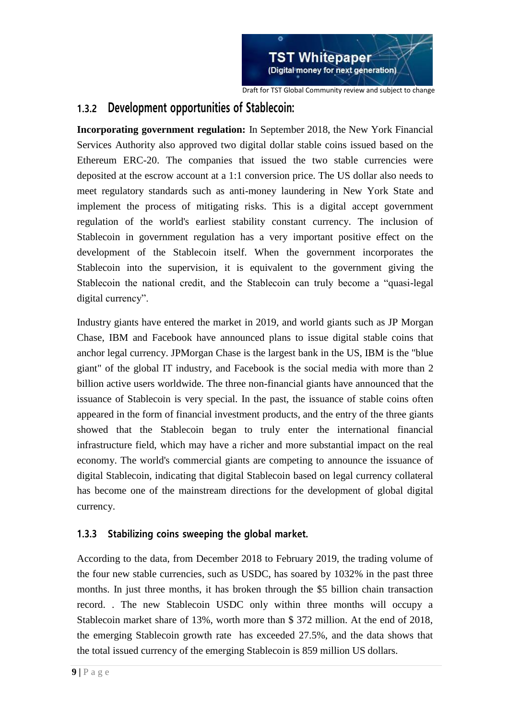

# **1.3.2 Development opportunities of Stablecoin:**

**Incorporating government regulation:** In September 2018, the New York Financial Services Authority also approved two digital dollar stable coins issued based on the Ethereum ERC-20. The companies that issued the two stable currencies were deposited at the escrow account at a 1:1 conversion price. The US dollar also needs to meet regulatory standards such as anti-money laundering in New York State and implement the process of mitigating risks. This is a digital accept government regulation of the world's earliest stability constant currency. The inclusion of Stablecoin in government regulation has a very important positive effect on the development of the Stablecoin itself. When the government incorporates the Stablecoin into the supervision, it is equivalent to the government giving the Stablecoin the national credit, and the Stablecoin can truly become a "quasi-legal digital currency".

Industry giants have entered the market in 2019, and world giants such as JP Morgan Chase, IBM and Facebook have announced plans to issue digital stable coins that anchor legal currency. JPMorgan Chase is the largest bank in the US, IBM is the "blue giant" of the global IT industry, and Facebook is the social media with more than 2 billion active users worldwide. The three non-financial giants have announced that the issuance of Stablecoin is very special. In the past, the issuance of stable coins often appeared in the form of financial investment products, and the entry of the three giants showed that the Stablecoin began to truly enter the international financial infrastructure field, which may have a richer and more substantial impact on the real economy. The world's commercial giants are competing to announce the issuance of digital Stablecoin, indicating that digital Stablecoin based on legal currency collateral has become one of the mainstream directions for the development of global digital currency.

# **1.3.3 Stabilizing coins sweeping the global market.**

According to the data, from December 2018 to February 2019, the trading volume of the four new stable currencies, such as USDC, has soared by 1032% in the past three months. In just three months, it has broken through the \$5 billion chain transaction record. . The new Stablecoin USDC only within three months will occupy a Stablecoin market share of 13%, worth more than \$ 372 million. At the end of 2018, the emerging Stablecoin growth rate has exceeded 27.5%, and the data shows that the total issued currency of the emerging Stablecoin is 859 million US dollars.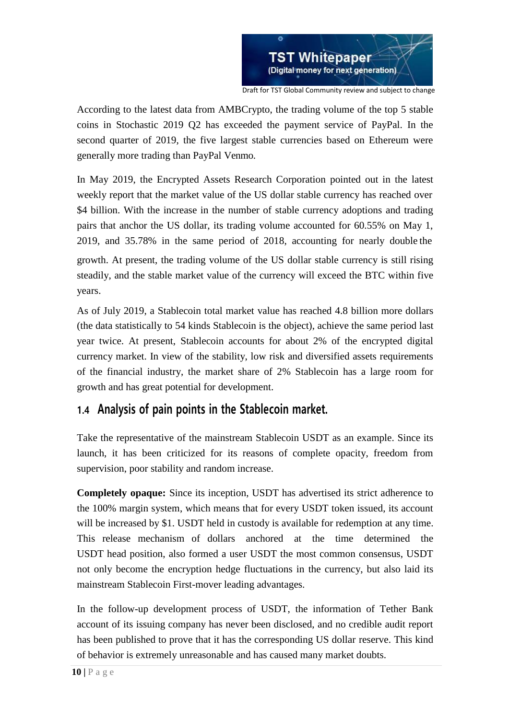

According to the latest data from AMBCrypto, the trading volume of the top 5 stable coins in Stochastic 2019 Q2 has exceeded the payment service of PayPal. In the second quarter of 2019, the five largest stable currencies based on Ethereum were generally more trading than PayPal Venmo.

In May 2019, the Encrypted Assets Research Corporation pointed out in the latest weekly report that the market value of the US dollar stable currency has reached over \$4 billion. With the increase in the number of stable currency adoptions and trading pairs that anchor the US dollar, its trading volume accounted for 60.55% on May 1, 2019, and 35.78% in the same period of 2018, accounting for nearly double the growth. At present, the trading volume of the US dollar stable currency is still rising steadily, and the stable market value of the currency will exceed the BTC within five years.

As of July 2019, a Stablecoin total market value has reached 4.8 billion more dollars (the data statistically to 54 kinds Stablecoin is the object), achieve the same period last year twice. At present, Stablecoin accounts for about 2% of the encrypted digital currency market. In view of the stability, low risk and diversified assets requirements of the financial industry, the market share of 2% Stablecoin has a large room for growth and has great potential for development.

# **1.4 Analysis of pain points in the Stablecoin market.**

Take the representative of the mainstream Stablecoin USDT as an example. Since its launch, it has been criticized for its reasons of complete opacity, freedom from supervision, poor stability and random increase.

**Completely opaque:** Since its inception, USDT has advertised its strict adherence to the 100% margin system, which means that for every USDT token issued, its account will be increased by \$1. USDT held in custody is available for redemption at any time. This release mechanism of dollars anchored at the time determined the USDT head position, also formed a user USDT the most common consensus, USDT not only become the encryption hedge fluctuations in the currency, but also laid its mainstream Stablecoin First-mover leading advantages.

In the follow-up development process of USDT, the information of Tether Bank account of its issuing company has never been disclosed, and no credible audit report has been published to prove that it has the corresponding US dollar reserve. This kind of behavior is extremely unreasonable and has caused many market doubts.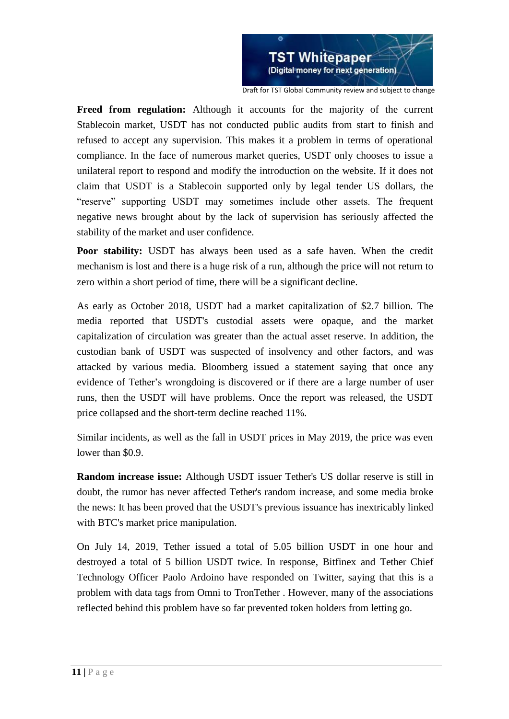

**Freed from regulation:** Although it accounts for the majority of the current Stablecoin market, USDT has not conducted public audits from start to finish and refused to accept any supervision. This makes it a problem in terms of operational compliance. In the face of numerous market queries, USDT only chooses to issue a unilateral report to respond and modify the introduction on the website. If it does not claim that USDT is a Stablecoin supported only by legal tender US dollars, the "reserve" supporting USDT may sometimes include other assets. The frequent negative news brought about by the lack of supervision has seriously affected the stability of the market and user confidence.

Poor stability: USDT has always been used as a safe haven. When the credit mechanism is lost and there is a huge risk of a run, although the price will not return to zero within a short period of time, there will be a significant decline.

As early as October 2018, USDT had a market capitalization of \$2.7 billion. The media reported that USDT's custodial assets were opaque, and the market capitalization of circulation was greater than the actual asset reserve. In addition, the custodian bank of USDT was suspected of insolvency and other factors, and was attacked by various media. Bloomberg issued a statement saying that once any evidence of Tether's wrongdoing is discovered or if there are a large number of user runs, then the USDT will have problems. Once the report was released, the USDT price collapsed and the short-term decline reached 11%.

Similar incidents, as well as the fall in USDT prices in May 2019, the price was even lower than \$0.9.

**Random increase issue:** Although USDT issuer Tether's US dollar reserve is still in doubt, the rumor has never affected Tether's random increase, and some media broke the news: It has been proved that the USDT's previous issuance has inextricably linked with BTC's market price manipulation.

On July 14, 2019, Tether issued a total of 5.05 billion USDT in one hour and destroyed a total of 5 billion USDT twice. In response, Bitfinex and Tether Chief Technology Officer Paolo Ardoino have responded on Twitter, saying that this is a problem with data tags from Omni to TronTether . However, many of the associations reflected behind this problem have so far prevented token holders from letting go.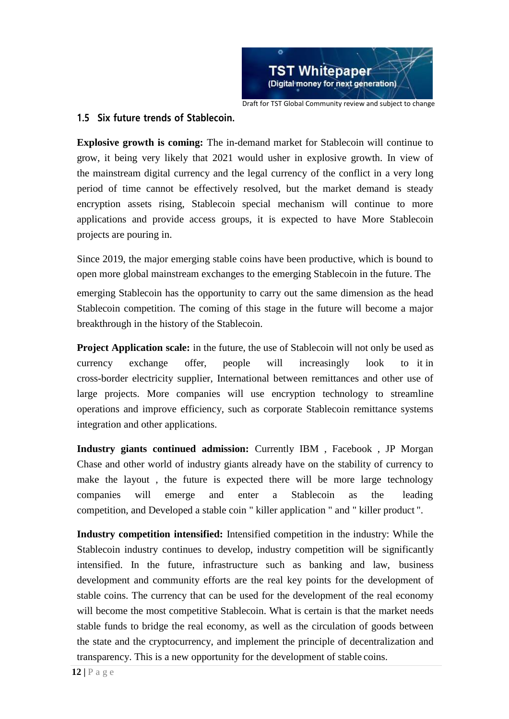

**1.5 Six future trends of Stablecoin.**

**Explosive growth is coming:** The in-demand market for Stablecoin will continue to grow, it being very likely that 2021 would usher in explosive growth. In view of the mainstream digital currency and the legal currency of the conflict in a very long period of time cannot be effectively resolved, but the market demand is steady encryption assets rising, Stablecoin special mechanism will continue to more applications and provide access groups, it is expected to have More Stablecoin projects are pouring in.

Since 2019, the major emerging stable coins have been productive, which is bound to open more global mainstream exchanges to the emerging Stablecoin in the future. The

emerging Stablecoin has the opportunity to carry out the same dimension as the head Stablecoin competition. The coming of this stage in the future will become a major breakthrough in the history of the Stablecoin.

**Project Application scale:** in the future, the use of Stablecoin will not only be used as currency exchange offer, people will increasingly look to it in cross-border electricity supplier, International between remittances and other use of large projects. More companies will use encryption technology to streamline operations and improve efficiency, such as corporate Stablecoin remittance systems integration and other applications.

**Industry giants continued admission:** Currently IBM , Facebook , JP Morgan Chase and other world of industry giants already have on the stability of currency to make the layout , the future is expected there will be more large technology companies will emerge and enter a Stablecoin as the leading competition, and Developed a stable coin " killer application " and " killer product ".

**Industry competition intensified:** Intensified competition in the industry: While the Stablecoin industry continues to develop, industry competition will be significantly intensified. In the future, infrastructure such as banking and law, business development and community efforts are the real key points for the development of stable coins. The currency that can be used for the development of the real economy will become the most competitive Stablecoin. What is certain is that the market needs stable funds to bridge the real economy, as well as the circulation of goods between the state and the cryptocurrency, and implement the principle of decentralization and transparency. This is a new opportunity for the development of stable coins.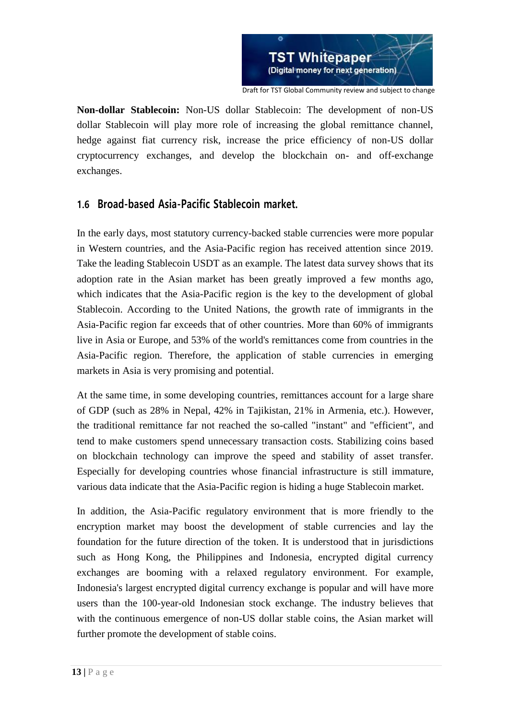

**Non-dollar Stablecoin:** Non-US dollar Stablecoin: The development of non-US dollar Stablecoin will play more role of increasing the global remittance channel, hedge against fiat currency risk, increase the price efficiency of non-US dollar cryptocurrency exchanges, and develop the blockchain on- and off-exchange exchanges.

# **1.6 Broad-based Asia-Pacific Stablecoin market.**

In the early days, most statutory currency-backed stable currencies were more popular in Western countries, and the Asia-Pacific region has received attention since 2019. Take the leading Stablecoin USDT as an example. The latest data survey shows that its adoption rate in the Asian market has been greatly improved a few months ago, which indicates that the Asia-Pacific region is the key to the development of global Stablecoin. According to the United Nations, the growth rate of immigrants in the Asia-Pacific region far exceeds that of other countries. More than 60% of immigrants live in Asia or Europe, and 53% of the world's remittances come from countries in the Asia-Pacific region. Therefore, the application of stable currencies in emerging markets in Asia is very promising and potential.

At the same time, in some developing countries, remittances account for a large share of GDP (such as 28% in Nepal, 42% in Tajikistan, 21% in Armenia, etc.). However, the traditional remittance far not reached the so-called "instant" and "efficient", and tend to make customers spend unnecessary transaction costs. Stabilizing coins based on blockchain technology can improve the speed and stability of asset transfer. Especially for developing countries whose financial infrastructure is still immature, various data indicate that the Asia-Pacific region is hiding a huge Stablecoin market.

In addition, the Asia-Pacific regulatory environment that is more friendly to the encryption market may boost the development of stable currencies and lay the foundation for the future direction of the token. It is understood that in jurisdictions such as Hong Kong, the Philippines and Indonesia, encrypted digital currency exchanges are booming with a relaxed regulatory environment. For example, Indonesia's largest encrypted digital currency exchange is popular and will have more users than the 100-year-old Indonesian stock exchange. The industry believes that with the continuous emergence of non-US dollar stable coins, the Asian market will further promote the development of stable coins.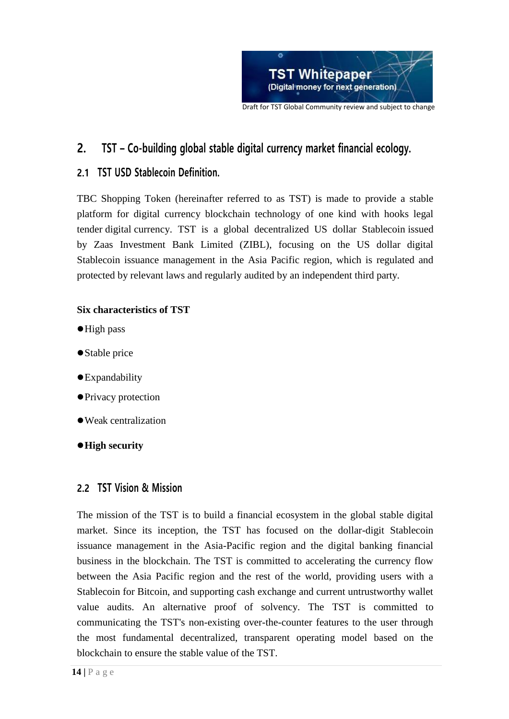

# **2. TST – Co-building global stable digital currency market financial ecology.**

# **2.1 TST USD Stablecoin Definition.**

TBC Shopping Token (hereinafter referred to as TST) is made to provide a stable platform for digital currency blockchain technology of one kind with hooks legal tender digital currency. TST is a global decentralized US dollar Stablecoin issued by Zaas Investment Bank Limited (ZIBL), focusing on the US dollar digital Stablecoin issuance management in the Asia Pacific region, which is regulated and protected by relevant laws and regularly audited by an independent third party.

# **Six characteristics of TST**

- High pass
- Stable price
- Expandability
- Privacy protection
- Weak centralization
- **High security**

# **2.2 TST Vision & Mission**

The mission of the TST is to build a financial ecosystem in the global stable digital market. Since its inception, the TST has focused on the dollar-digit Stablecoin issuance management in the Asia-Pacific region and the digital banking financial business in the blockchain. The TST is committed to accelerating the currency flow between the Asia Pacific region and the rest of the world, providing users with a Stablecoin for Bitcoin, and supporting cash exchange and current untrustworthy wallet value audits. An alternative proof of solvency. The TST is committed to communicating the TST's non-existing over-the-counter features to the user through the most fundamental decentralized, transparent operating model based on the blockchain to ensure the stable value of the TST.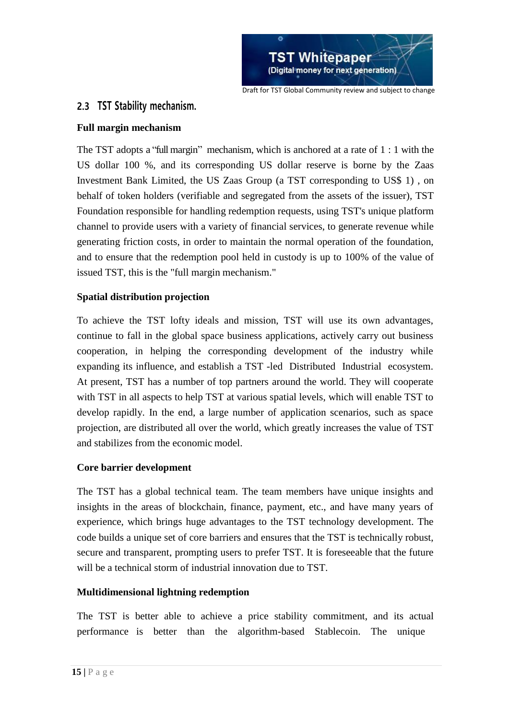

# **2.3 TST Stability mechanism.**

### **Full margin mechanism**

The TST adopts a "full margin" mechanism, which is anchored at a rate of 1 : 1 with the US dollar 100 %, and its corresponding US dollar reserve is borne by the Zaas Investment Bank Limited, the US Zaas Group (a TST corresponding to US\$ 1) , on behalf of token holders (verifiable and segregated from the assets of the issuer), TST Foundation responsible for handling redemption requests, using TST's unique platform channel to provide users with a variety of financial services, to generate revenue while generating friction costs, in order to maintain the normal operation of the foundation, and to ensure that the redemption pool held in custody is up to 100% of the value of issued TST, this is the "full margin mechanism."

# **Spatial distribution projection**

To achieve the TST lofty ideals and mission, TST will use its own advantages, continue to fall in the global space business applications, actively carry out business cooperation, in helping the corresponding development of the industry while expanding its influence, and establish a TST -led Distributed Industrial ecosystem. At present, TST has a number of top partners around the world. They will cooperate with TST in all aspects to help TST at various spatial levels, which will enable TST to develop rapidly. In the end, a large number of application scenarios, such as space projection, are distributed all over the world, which greatly increases the value of TST and stabilizes from the economic model.

### **Core barrier development**

The TST has a global technical team. The team members have unique insights and insights in the areas of blockchain, finance, payment, etc., and have many years of experience, which brings huge advantages to the TST technology development. The code builds a unique set of core barriers and ensures that the TST is technically robust, secure and transparent, prompting users to prefer TST. It is foreseeable that the future will be a technical storm of industrial innovation due to TST.

### **Multidimensional lightning redemption**

The TST is better able to achieve a price stability commitment, and its actual performance is better than the algorithm-based Stablecoin. The unique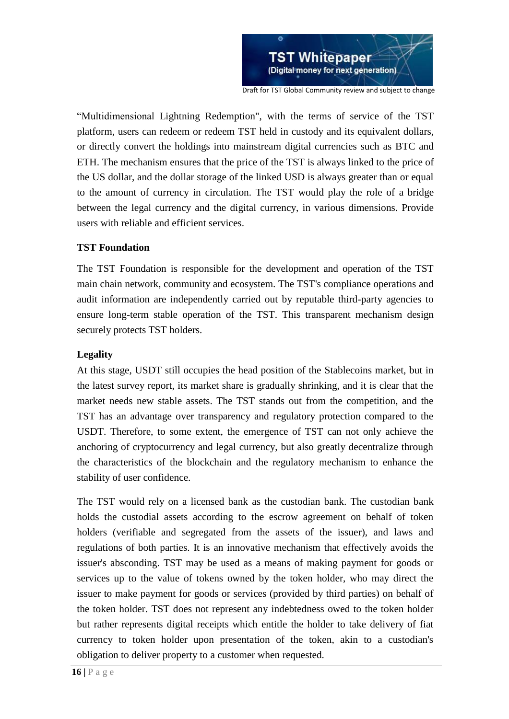

"Multidimensional Lightning Redemption", with the terms of service of the TST platform, users can redeem or redeem TST held in custody and its equivalent dollars, or directly convert the holdings into mainstream digital currencies such as BTC and ETH. The mechanism ensures that the price of the TST is always linked to the price of the US dollar, and the dollar storage of the linked USD is always greater than or equal to the amount of currency in circulation. The TST would play the role of a bridge between the legal currency and the digital currency, in various dimensions. Provide users with reliable and efficient services.

#### **TST Foundation**

The TST Foundation is responsible for the development and operation of the TST main chain network, community and ecosystem. The TST's compliance operations and audit information are independently carried out by reputable third-party agencies to ensure long-term stable operation of the TST. This transparent mechanism design securely protects TST holders.

#### **Legality**

At this stage, USDT still occupies the head position of the Stablecoins market, but in the latest survey report, its market share is gradually shrinking, and it is clear that the market needs new stable assets. The TST stands out from the competition, and the TST has an advantage over transparency and regulatory protection compared to the USDT. Therefore, to some extent, the emergence of TST can not only achieve the anchoring of cryptocurrency and legal currency, but also greatly decentralize through the characteristics of the blockchain and the regulatory mechanism to enhance the stability of user confidence.

The TST would rely on a licensed bank as the custodian bank. The custodian bank holds the custodial assets according to the escrow agreement on behalf of token holders (verifiable and segregated from the assets of the issuer), and laws and regulations of both parties. It is an innovative mechanism that effectively avoids the issuer's absconding. TST may be used as a means of making payment for goods or services up to the value of tokens owned by the token holder, who may direct the issuer to make payment for goods or services (provided by third parties) on behalf of the token holder. TST does not represent any indebtedness owed to the token holder but rather represents digital receipts which entitle the holder to take delivery of fiat currency to token holder upon presentation of the token, akin to a custodian's obligation to deliver property to a customer when requested.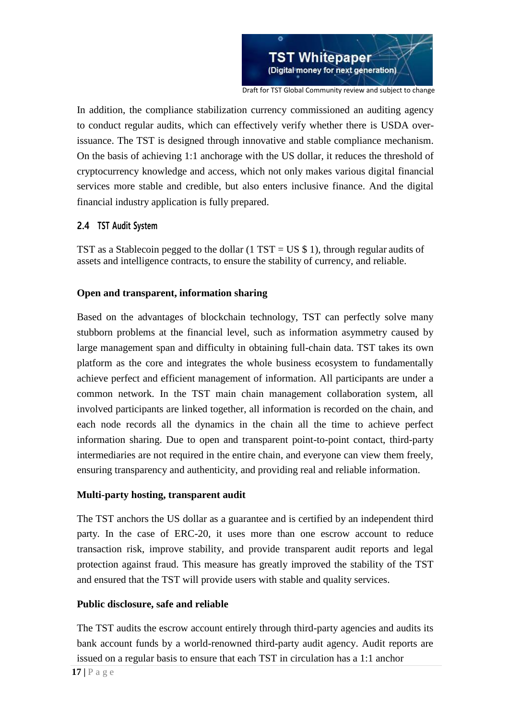

Draft for TST Global Community review and subject to change

In addition, the compliance stabilization currency commissioned an auditing agency to conduct regular audits, which can effectively verify whether there is USDA overissuance. The TST is designed through innovative and stable compliance mechanism. On the basis of achieving 1:1 anchorage with the US dollar, it reduces the threshold of cryptocurrency knowledge and access, which not only makes various digital financial services more stable and credible, but also enters inclusive finance. And the digital financial industry application is fully prepared.

### **2.4 TST Audit System**

TST as a Stablecoin pegged to the dollar  $(1 TST = US $ 1)$ , through regular audits of assets and intelligence contracts, to ensure the stability of currency, and reliable.

### **Open and transparent, information sharing**

Based on the advantages of blockchain technology, TST can perfectly solve many stubborn problems at the financial level, such as information asymmetry caused by large management span and difficulty in obtaining full-chain data. TST takes its own platform as the core and integrates the whole business ecosystem to fundamentally achieve perfect and efficient management of information. All participants are under a common network. In the TST main chain management collaboration system, all involved participants are linked together, all information is recorded on the chain, and each node records all the dynamics in the chain all the time to achieve perfect information sharing. Due to open and transparent point-to-point contact, third-party intermediaries are not required in the entire chain, and everyone can view them freely, ensuring transparency and authenticity, and providing real and reliable information.

### **Multi-party hosting, transparent audit**

The TST anchors the US dollar as a guarantee and is certified by an independent third party. In the case of ERC-20, it uses more than one escrow account to reduce transaction risk, improve stability, and provide transparent audit reports and legal protection against fraud. This measure has greatly improved the stability of the TST and ensured that the TST will provide users with stable and quality services.

### **Public disclosure, safe and reliable**

The TST audits the escrow account entirely through third-party agencies and audits its bank account funds by a world-renowned third-party audit agency. Audit reports are issued on a regular basis to ensure that each TST in circulation has a 1:1 anchor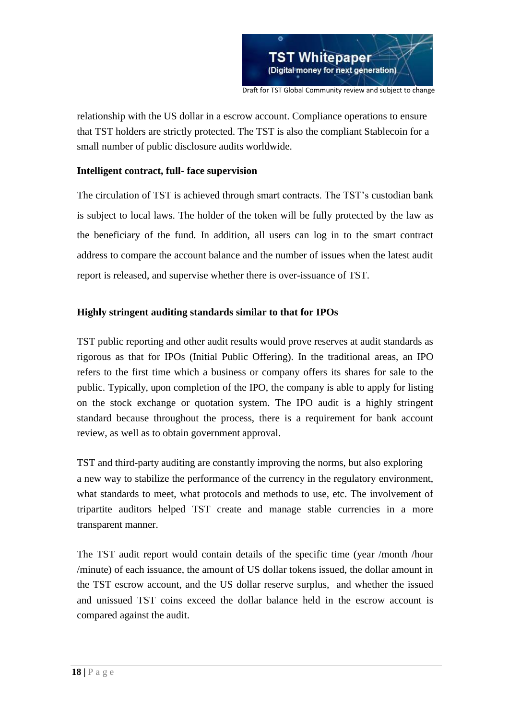

relationship with the US dollar in a escrow account. Compliance operations to ensure that TST holders are strictly protected. The TST is also the compliant Stablecoin for a small number of public disclosure audits worldwide.

#### **Intelligent contract, full- face supervision**

The circulation of TST is achieved through smart contracts. The TST's custodian bank is subject to local laws. The holder of the token will be fully protected by the law as the beneficiary of the fund. In addition, all users can log in to the smart contract address to compare the account balance and the number of issues when the latest audit report is released, and supervise whether there is over-issuance of TST.

### **Highly stringent auditing standards similar to that for IPOs**

TST public reporting and other audit results would prove reserves at audit standards as rigorous as that for IPOs (Initial Public Offering). In the traditional areas, an IPO refers to the first time which a business or company offers its shares for sale to the public. Typically, upon completion of the IPO, the company is able to apply for listing on the stock exchange or quotation system. The IPO audit is a highly stringent standard because throughout the process, there is a requirement for bank account review, as well as to obtain government approval.

TST and third-party auditing are constantly improving the norms, but also exploring a new way to stabilize the performance of the currency in the regulatory environment, what standards to meet, what protocols and methods to use, etc. The involvement of tripartite auditors helped TST create and manage stable currencies in a more transparent manner.

The TST audit report would contain details of the specific time (year /month /hour /minute) of each issuance, the amount of US dollar tokens issued, the dollar amount in the TST escrow account, and the US dollar reserve surplus, and whether the issued and unissued TST coins exceed the dollar balance held in the escrow account is compared against the audit.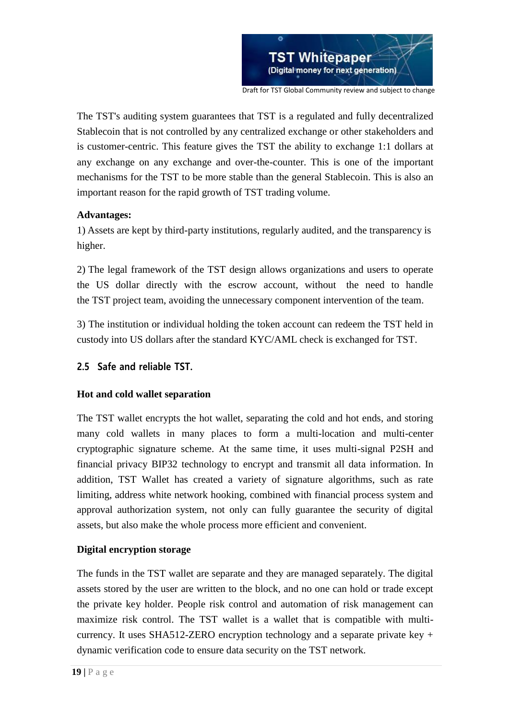

The TST's auditing system guarantees that TST is a regulated and fully decentralized Stablecoin that is not controlled by any centralized exchange or other stakeholders and is customer-centric. This feature gives the TST the ability to exchange 1:1 dollars at any exchange on any exchange and over-the-counter. This is one of the important mechanisms for the TST to be more stable than the general Stablecoin. This is also an important reason for the rapid growth of TST trading volume.

#### **Advantages:**

1) Assets are kept by third-party institutions, regularly audited, and the transparency is higher.

2) The legal framework of the TST design allows organizations and users to operate the US dollar directly with the escrow account, without the need to handle the TST project team, avoiding the unnecessary component intervention of the team.

3) The institution or individual holding the token account can redeem the TST held in custody into US dollars after the standard KYC/AML check is exchanged for TST.

### **2.5 Safe and reliable TST.**

#### **Hot and cold wallet separation**

The TST wallet encrypts the hot wallet, separating the cold and hot ends, and storing many cold wallets in many places to form a multi-location and multi-center cryptographic signature scheme. At the same time, it uses multi-signal P2SH and financial privacy BIP32 technology to encrypt and transmit all data information. In addition, TST Wallet has created a variety of signature algorithms, such as rate limiting, address white network hooking, combined with financial process system and approval authorization system, not only can fully guarantee the security of digital assets, but also make the whole process more efficient and convenient.

#### **Digital encryption storage**

The funds in the TST wallet are separate and they are managed separately. The digital assets stored by the user are written to the block, and no one can hold or trade except the private key holder. People risk control and automation of risk management can maximize risk control. The TST wallet is a wallet that is compatible with multicurrency. It uses SHA512-ZERO encryption technology and a separate private key + dynamic verification code to ensure data security on the TST network.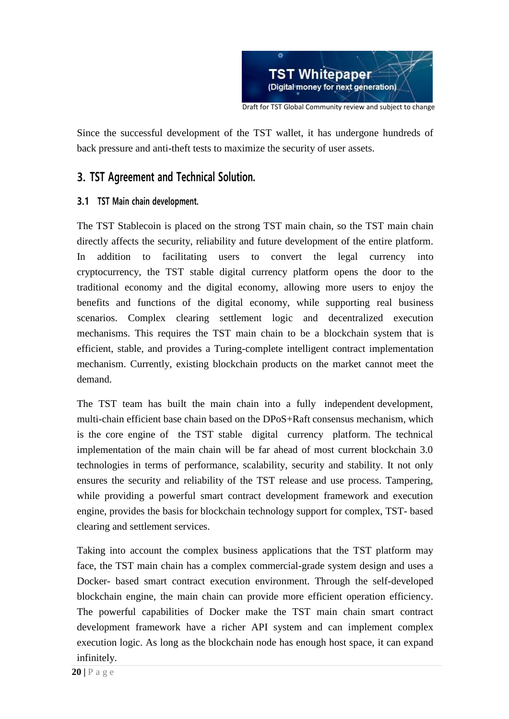

Since the successful development of the TST wallet, it has undergone hundreds of back pressure and anti-theft tests to maximize the security of user assets.

# **3. TST Agreement and Technical Solution.**

# **3.1 TST Main chain development.**

The TST Stablecoin is placed on the strong TST main chain, so the TST main chain directly affects the security, reliability and future development of the entire platform. In addition to facilitating users to convert the legal currency into cryptocurrency, the TST stable digital currency platform opens the door to the traditional economy and the digital economy, allowing more users to enjoy the benefits and functions of the digital economy, while supporting real business scenarios. Complex clearing settlement logic and decentralized execution mechanisms. This requires the TST main chain to be a blockchain system that is efficient, stable, and provides a Turing-complete intelligent contract implementation mechanism. Currently, existing blockchain products on the market cannot meet the demand.

The TST team has built the main chain into a fully independent development, multi-chain efficient base chain based on the DPoS+Raft consensus mechanism, which is the core engine of the TST stable digital currency platform. The technical implementation of the main chain will be far ahead of most current blockchain 3.0 technologies in terms of performance, scalability, security and stability. It not only ensures the security and reliability of the TST release and use process. Tampering, while providing a powerful smart contract development framework and execution engine, provides the basis for blockchain technology support for complex, TST- based clearing and settlement services.

Taking into account the complex business applications that the TST platform may face, the TST main chain has a complex commercial-grade system design and uses a Docker- based smart contract execution environment. Through the self-developed blockchain engine, the main chain can provide more efficient operation efficiency. The powerful capabilities of Docker make the TST main chain smart contract development framework have a richer API system and can implement complex execution logic. As long as the blockchain node has enough host space, it can expand infinitely.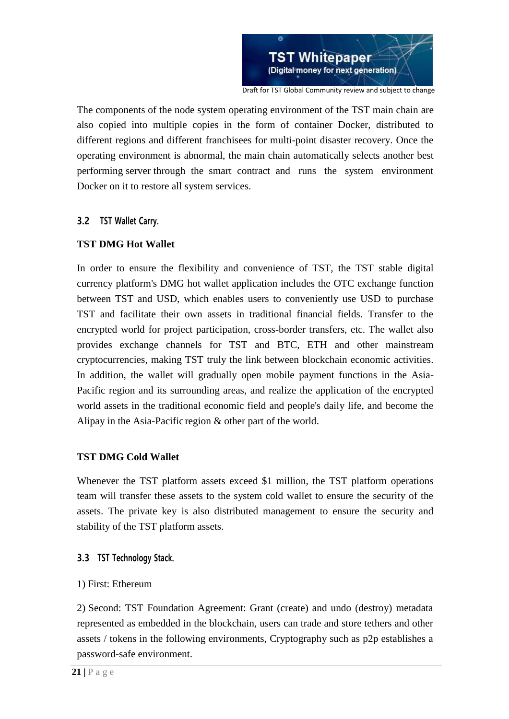

Draft for TST Global Community review and subject to change

The components of the node system operating environment of the TST main chain are also copied into multiple copies in the form of container Docker, distributed to different regions and different franchisees for multi-point disaster recovery. Once the operating environment is abnormal, the main chain automatically selects another best performing server through the smart contract and runs the system environment Docker on it to restore all system services.

### **3.2 TST Wallet Carry.**

### **TST DMG Hot Wallet**

In order to ensure the flexibility and convenience of TST, the TST stable digital currency platform's DMG hot wallet application includes the OTC exchange function between TST and USD, which enables users to conveniently use USD to purchase TST and facilitate their own assets in traditional financial fields. Transfer to the encrypted world for project participation, cross-border transfers, etc. The wallet also provides exchange channels for TST and BTC, ETH and other mainstream cryptocurrencies, making TST truly the link between blockchain economic activities. In addition, the wallet will gradually open mobile payment functions in the Asia-Pacific region and its surrounding areas, and realize the application of the encrypted world assets in the traditional economic field and people's daily life, and become the Alipay in the Asia-Pacific region & other part of the world.

### **TST DMG Cold Wallet**

Whenever the TST platform assets exceed \$1 million, the TST platform operations team will transfer these assets to the system cold wallet to ensure the security of the assets. The private key is also distributed management to ensure the security and stability of the TST platform assets.

### **3.3 TST Technology Stack.**

### 1) First: Ethereum

2) Second: TST Foundation Agreement: Grant (create) and undo (destroy) metadata represented as embedded in the blockchain, users can trade and store tethers and other assets / tokens in the following environments, Cryptography such as p2p establishes a password-safe environment.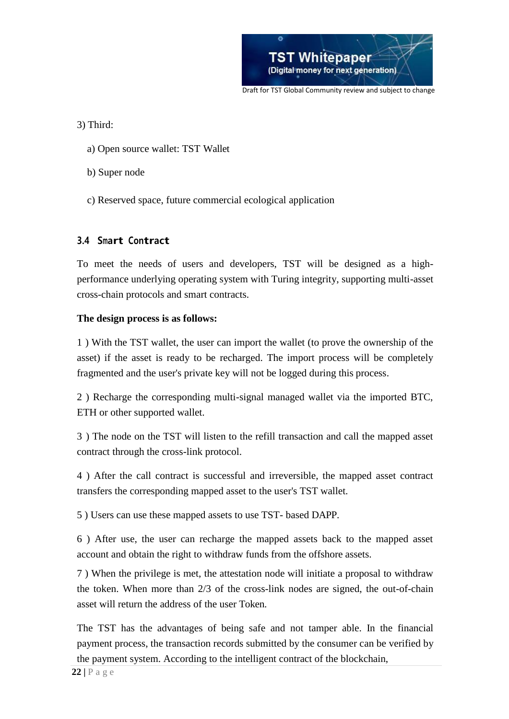

3) Third:

- a) Open source wallet: TST Wallet
- b) Super node
- c) Reserved space, future commercial ecological application

# **3.4 Smart Contract**

To meet the needs of users and developers, TST will be designed as a highperformance underlying operating system with Turing integrity, supporting multi-asset cross-chain protocols and smart contracts.

### **The design process is as follows:**

1 ) With the TST wallet, the user can import the wallet (to prove the ownership of the asset) if the asset is ready to be recharged. The import process will be completely fragmented and the user's private key will not be logged during this process.

2 ) Recharge the corresponding multi-signal managed wallet via the imported BTC, ETH or other supported wallet.

3 ) The node on the TST will listen to the refill transaction and call the mapped asset contract through the cross-link protocol.

4 ) After the call contract is successful and irreversible, the mapped asset contract transfers the corresponding mapped asset to the user's TST wallet.

5 ) Users can use these mapped assets to use TST- based DAPP.

6 ) After use, the user can recharge the mapped assets back to the mapped asset account and obtain the right to withdraw funds from the offshore assets.

7 ) When the privilege is met, the attestation node will initiate a proposal to withdraw the token. When more than 2/3 of the cross-link nodes are signed, the out-of-chain asset will return the address of the user Token.

The TST has the advantages of being safe and not tamper able. In the financial payment process, the transaction records submitted by the consumer can be verified by the payment system. According to the intelligent contract of the blockchain,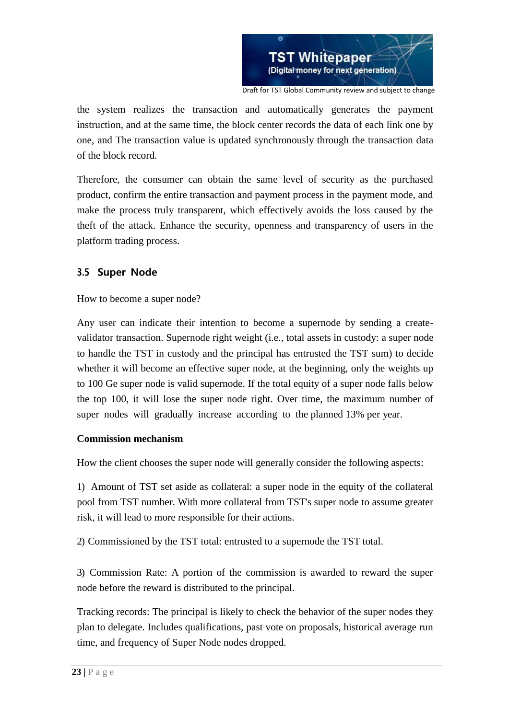

the system realizes the transaction and automatically generates the payment instruction, and at the same time, the block center records the data of each link one by one, and The transaction value is updated synchronously through the transaction data of the block record.

Therefore, the consumer can obtain the same level of security as the purchased product, confirm the entire transaction and payment process in the payment mode, and make the process truly transparent, which effectively avoids the loss caused by the theft of the attack. Enhance the security, openness and transparency of users in the platform trading process.

# **3.5 Super Node**

How to become a super node?

Any user can indicate their intention to become a supernode by sending a createvalidator transaction. Supernode right weight (i.e., total assets in custody: a super node to handle the TST in custody and the principal has entrusted the TST sum) to decide whether it will become an effective super node, at the beginning, only the weights up to 100 Ge super node is valid supernode. If the total equity of a super node falls below the top 100, it will lose the super node right. Over time, the maximum number of super nodes will gradually increase according to the planned 13% per year.

### **Commission mechanism**

How the client chooses the super node will generally consider the following aspects:

1) Amount of TST set aside as collateral: a super node in the equity of the collateral pool from TST number. With more collateral from TST's super node to assume greater risk, it will lead to more responsible for their actions.

2) Commissioned by the TST total: entrusted to a supernode the TST total.

3) Commission Rate: A portion of the commission is awarded to reward the super node before the reward is distributed to the principal.

Tracking records: The principal is likely to check the behavior of the super nodes they plan to delegate. Includes qualifications, past vote on proposals, historical average run time, and frequency of Super Node nodes dropped.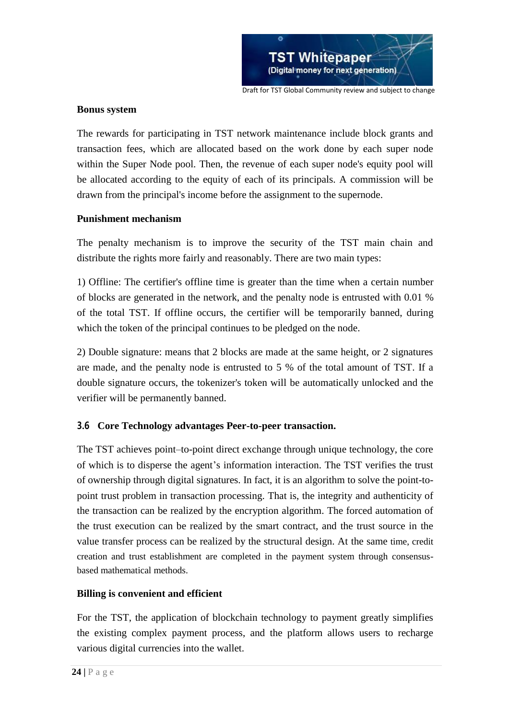

#### **Bonus system**

The rewards for participating in TST network maintenance include block grants and transaction fees, which are allocated based on the work done by each super node within the Super Node pool. Then, the revenue of each super node's equity pool will be allocated according to the equity of each of its principals. A commission will be drawn from the principal's income before the assignment to the supernode.

#### **Punishment mechanism**

The penalty mechanism is to improve the security of the TST main chain and distribute the rights more fairly and reasonably. There are two main types:

1) Offline: The certifier's offline time is greater than the time when a certain number of blocks are generated in the network, and the penalty node is entrusted with 0.01 % of the total TST. If offline occurs, the certifier will be temporarily banned, during which the token of the principal continues to be pledged on the node.

2) Double signature: means that 2 blocks are made at the same height, or 2 signatures are made, and the penalty node is entrusted to 5 % of the total amount of TST. If a double signature occurs, the tokenizer's token will be automatically unlocked and the verifier will be permanently banned.

### **3.6 Core Technology advantages Peer-to-peer transaction.**

The TST achieves point–to-point direct exchange through unique technology, the core of which is to disperse the agent's information interaction. The TST verifies the trust of ownership through digital signatures. In fact, it is an algorithm to solve the point-topoint trust problem in transaction processing. That is, the integrity and authenticity of the transaction can be realized by the encryption algorithm. The forced automation of the trust execution can be realized by the smart contract, and the trust source in the value transfer process can be realized by the structural design. At the same time, credit creation and trust establishment are completed in the payment system through consensusbased mathematical methods.

#### **Billing is convenient and efficient**

For the TST, the application of blockchain technology to payment greatly simplifies the existing complex payment process, and the platform allows users to recharge various digital currencies into the wallet.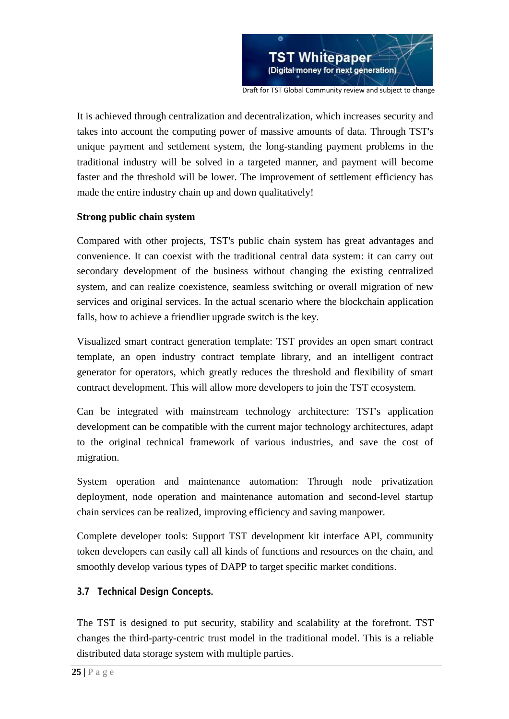

Draft for TST Global Community review and subject to change

It is achieved through centralization and decentralization, which increases security and takes into account the computing power of massive amounts of data. Through TST's unique payment and settlement system, the long-standing payment problems in the traditional industry will be solved in a targeted manner, and payment will become faster and the threshold will be lower. The improvement of settlement efficiency has made the entire industry chain up and down qualitatively!

#### **Strong public chain system**

Compared with other projects, TST's public chain system has great advantages and convenience. It can coexist with the traditional central data system: it can carry out secondary development of the business without changing the existing centralized system, and can realize coexistence, seamless switching or overall migration of new services and original services. In the actual scenario where the blockchain application falls, how to achieve a friendlier upgrade switch is the key.

Visualized smart contract generation template: TST provides an open smart contract template, an open industry contract template library, and an intelligent contract generator for operators, which greatly reduces the threshold and flexibility of smart contract development. This will allow more developers to join the TST ecosystem.

Can be integrated with mainstream technology architecture: TST's application development can be compatible with the current major technology architectures, adapt to the original technical framework of various industries, and save the cost of migration.

System operation and maintenance automation: Through node privatization deployment, node operation and maintenance automation and second-level startup chain services can be realized, improving efficiency and saving manpower.

Complete developer tools: Support TST development kit interface API, community token developers can easily call all kinds of functions and resources on the chain, and smoothly develop various types of DAPP to target specific market conditions.

# **3.7 Technical Design Concepts.**

The TST is designed to put security, stability and scalability at the forefront. TST changes the third-party-centric trust model in the traditional model. This is a reliable distributed data storage system with multiple parties.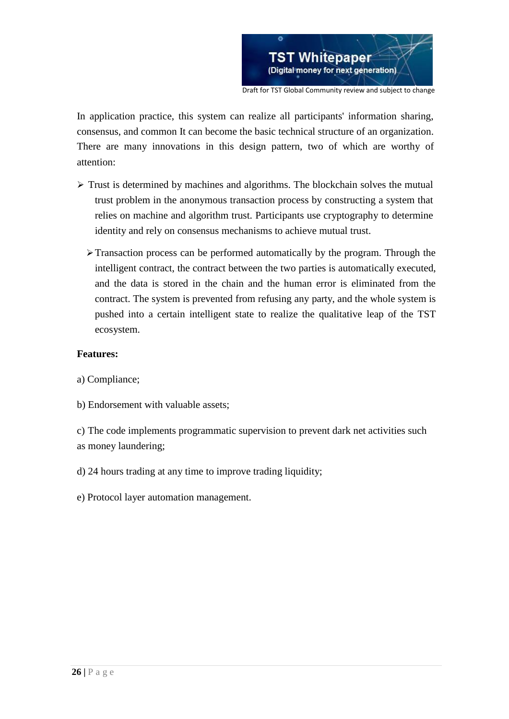

In application practice, this system can realize all participants' information sharing, consensus, and common It can become the basic technical structure of an organization. There are many innovations in this design pattern, two of which are worthy of attention:

- $\triangleright$  Trust is determined by machines and algorithms. The blockchain solves the mutual trust problem in the anonymous transaction process by constructing a system that relies on machine and algorithm trust. Participants use cryptography to determine identity and rely on consensus mechanisms to achieve mutual trust.
	- $\triangleright$  Transaction process can be performed automatically by the program. Through the intelligent contract, the contract between the two parties is automatically executed, and the data is stored in the chain and the human error is eliminated from the contract. The system is prevented from refusing any party, and the whole system is pushed into a certain intelligent state to realize the qualitative leap of the TST ecosystem.

#### **Features:**

- a) Compliance;
- b) Endorsement with valuable assets;

c) The code implements programmatic supervision to prevent dark net activities such as money laundering;

- d) 24 hours trading at any time to improve trading liquidity;
- e) Protocol layer automation management.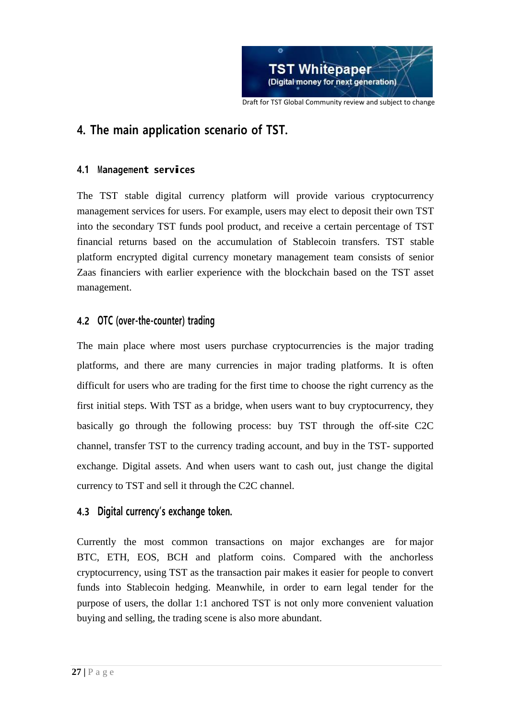

# **4. The main application scenario of TST.**

# **4.1 Management services**

The TST stable digital currency platform will provide various cryptocurrency management services for users. For example, users may elect to deposit their own TST into the secondary TST funds pool product, and receive a certain percentage of TST financial returns based on the accumulation of Stablecoin transfers. TST stable platform encrypted digital currency monetary management team consists of senior Zaas financiers with earlier experience with the blockchain based on the TST asset management.

# **4.2 OTC (over-the-counter) trading**

The main place where most users purchase cryptocurrencies is the major trading platforms, and there are many currencies in major trading platforms. It is often difficult for users who are trading for the first time to choose the right currency as the first initial steps. With TST as a bridge, when users want to buy cryptocurrency, they basically go through the following process: buy TST through the off-site C2C channel, transfer TST to the currency trading account, and buy in the TST- supported exchange. Digital assets. And when users want to cash out, just change the digital currency to TST and sell it through the C2C channel.

# **4.3 Digital currency's exchange token.**

Currently the most common transactions on major exchanges are for major BTC, ETH, EOS, BCH and platform coins. Compared with the anchorless cryptocurrency, using TST as the transaction pair makes it easier for people to convert funds into Stablecoin hedging. Meanwhile, in order to earn legal tender for the purpose of users, the dollar 1:1 anchored TST is not only more convenient valuation buying and selling, the trading scene is also more abundant.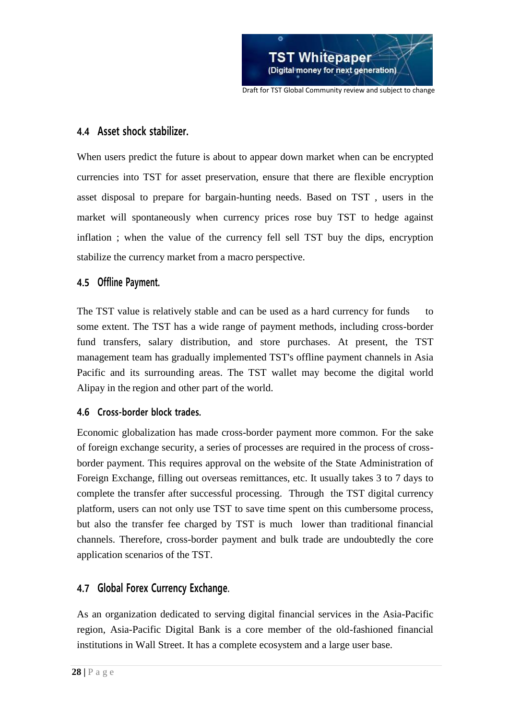

# **4.4 Asset shock stabilizer.**

When users predict the future is about to appear down market when can be encrypted currencies into TST for asset preservation, ensure that there are flexible encryption asset disposal to prepare for bargain-hunting needs. Based on TST , users in the market will spontaneously when currency prices rose buy TST to hedge against inflation ; when the value of the currency fell sell TST buy the dips, encryption stabilize the currency market from a macro perspective.

# **4.5 Offline Payment.**

The TST value is relatively stable and can be used as a hard currency for funds to some extent. The TST has a wide range of payment methods, including cross-border fund transfers, salary distribution, and store purchases. At present, the TST management team has gradually implemented TST's offline payment channels in Asia Pacific and its surrounding areas. The TST wallet may become the digital world Alipay in the region and other part of the world.

# **4.6 Cross-border block trades.**

Economic globalization has made cross-border payment more common. For the sake of foreign exchange security, a series of processes are required in the process of crossborder payment. This requires approval on the website of the State Administration of Foreign Exchange, filling out overseas remittances, etc. It usually takes 3 to 7 days to complete the transfer after successful processing. Through the TST digital currency platform, users can not only use TST to save time spent on this cumbersome process, but also the transfer fee charged by TST is much lower than traditional financial channels. Therefore, cross-border payment and bulk trade are undoubtedly the core application scenarios of the TST.

# **4.7 Global Forex Currency Exchange.**

As an organization dedicated to serving digital financial services in the Asia-Pacific region, Asia-Pacific Digital Bank is a core member of the old-fashioned financial institutions in Wall Street. It has a complete ecosystem and a large user base.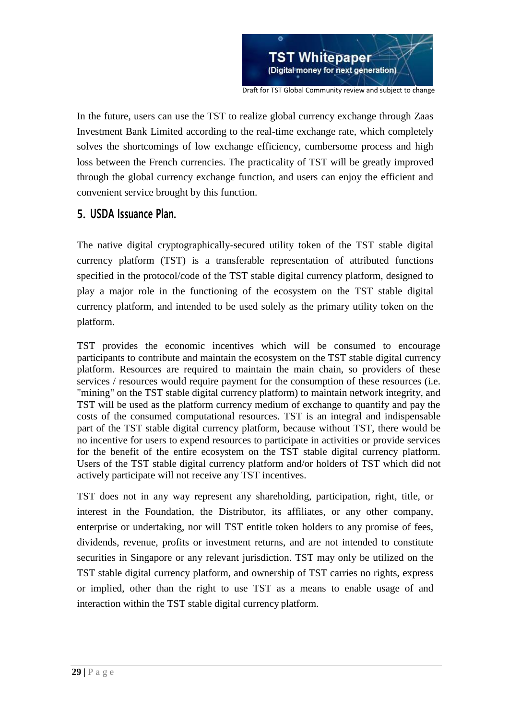

Draft for TST Global Community review and subject to change

In the future, users can use the TST to realize global currency exchange through Zaas Investment Bank Limited according to the real-time exchange rate, which completely solves the shortcomings of low exchange efficiency, cumbersome process and high loss between the French currencies. The practicality of TST will be greatly improved through the global currency exchange function, and users can enjoy the efficient and convenient service brought by this function.

# **5. USDA Issuance Plan.**

The native digital cryptographically-secured utility token of the TST stable digital currency platform (TST) is a transferable representation of attributed functions specified in the protocol/code of the TST stable digital currency platform, designed to play a major role in the functioning of the ecosystem on the TST stable digital currency platform, and intended to be used solely as the primary utility token on the platform.

TST provides the economic incentives which will be consumed to encourage participants to contribute and maintain the ecosystem on the TST stable digital currency platform. Resources are required to maintain the main chain, so providers of these services / resources would require payment for the consumption of these resources (i.e. "mining" on the TST stable digital currency platform) to maintain network integrity, and TST will be used as the platform currency medium of exchange to quantify and pay the costs of the consumed computational resources. TST is an integral and indispensable part of the TST stable digital currency platform, because without TST, there would be no incentive for users to expend resources to participate in activities or provide services for the benefit of the entire ecosystem on the TST stable digital currency platform. Users of the TST stable digital currency platform and/or holders of TST which did not actively participate will not receive any TST incentives.

TST does not in any way represent any shareholding, participation, right, title, or interest in the Foundation, the Distributor, its affiliates, or any other company, enterprise or undertaking, nor will TST entitle token holders to any promise of fees, dividends, revenue, profits or investment returns, and are not intended to constitute securities in Singapore or any relevant jurisdiction. TST may only be utilized on the TST stable digital currency platform, and ownership of TST carries no rights, express or implied, other than the right to use TST as a means to enable usage of and interaction within the TST stable digital currency platform.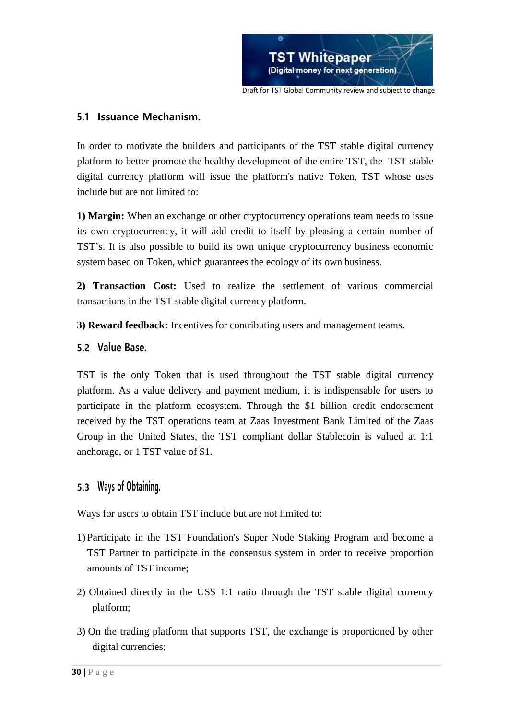

### **5.1 Issuance Mechanism.**

In order to motivate the builders and participants of the TST stable digital currency platform to better promote the healthy development of the entire TST, the TST stable digital currency platform will issue the platform's native Token, TST whose uses include but are not limited to:

**1) Margin:** When an exchange or other cryptocurrency operations team needs to issue its own cryptocurrency, it will add credit to itself by pleasing a certain number of TST's. It is also possible to build its own unique cryptocurrency business economic system based on Token, which guarantees the ecology of its own business.

**2) Transaction Cost:** Used to realize the settlement of various commercial transactions in the TST stable digital currency platform.

**3) Reward feedback:** Incentives for contributing users and management teams.

# **5.2 Value Base.**

TST is the only Token that is used throughout the TST stable digital currency platform. As a value delivery and payment medium, it is indispensable for users to participate in the platform ecosystem. Through the \$1 billion credit endorsement received by the TST operations team at Zaas Investment Bank Limited of the Zaas Group in the United States, the TST compliant dollar Stablecoin is valued at 1:1 anchorage, or 1 TST value of \$1.

# **5.3 Ways of Obtaining.**

Ways for users to obtain TST include but are not limited to:

- 1) Participate in the TST Foundation's Super Node Staking Program and become a TST Partner to participate in the consensus system in order to receive proportion amounts of TST income;
- 2) Obtained directly in the US\$ 1:1 ratio through the TST stable digital currency platform;
- 3) On the trading platform that supports TST, the exchange is proportioned by other digital currencies;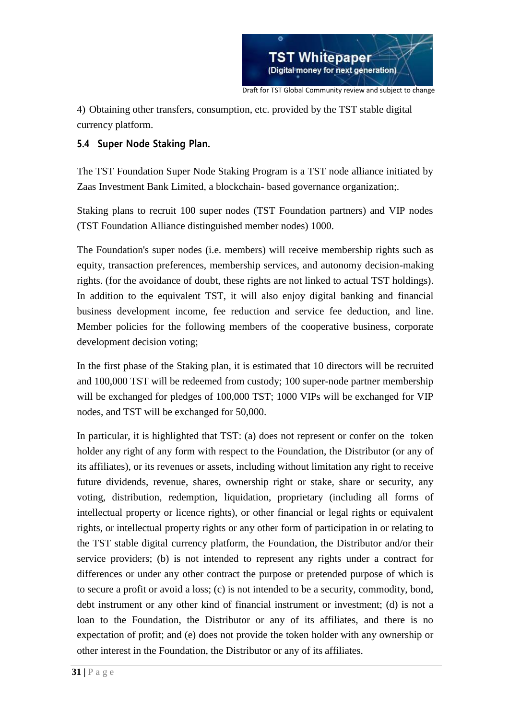

4) Obtaining other transfers, consumption, etc. provided by the TST stable digital currency platform.

### **5.4 Super Node Staking Plan.**

The TST Foundation Super Node Staking Program is a TST node alliance initiated by Zaas Investment Bank Limited, a blockchain- based governance organization;.

Staking plans to recruit 100 super nodes (TST Foundation partners) and VIP nodes (TST Foundation Alliance distinguished member nodes) 1000.

The Foundation's super nodes (i.e. members) will receive membership rights such as equity, transaction preferences, membership services, and autonomy decision-making rights. (for the avoidance of doubt, these rights are not linked to actual TST holdings). In addition to the equivalent TST, it will also enjoy digital banking and financial business development income, fee reduction and service fee deduction, and line. Member policies for the following members of the cooperative business, corporate development decision voting;

In the first phase of the Staking plan, it is estimated that 10 directors will be recruited and 100,000 TST will be redeemed from custody; 100 super-node partner membership will be exchanged for pledges of 100,000 TST; 1000 VIPs will be exchanged for VIP nodes, and TST will be exchanged for 50,000.

In particular, it is highlighted that TST: (a) does not represent or confer on the token holder any right of any form with respect to the Foundation, the Distributor (or any of its affiliates), or its revenues or assets, including without limitation any right to receive future dividends, revenue, shares, ownership right or stake, share or security, any voting, distribution, redemption, liquidation, proprietary (including all forms of intellectual property or licence rights), or other financial or legal rights or equivalent rights, or intellectual property rights or any other form of participation in or relating to the TST stable digital currency platform, the Foundation, the Distributor and/or their service providers; (b) is not intended to represent any rights under a contract for differences or under any other contract the purpose or pretended purpose of which is to secure a profit or avoid a loss; (c) is not intended to be a security, commodity, bond, debt instrument or any other kind of financial instrument or investment; (d) is not a loan to the Foundation, the Distributor or any of its affiliates, and there is no expectation of profit; and (e) does not provide the token holder with any ownership or other interest in the Foundation, the Distributor or any of its affiliates.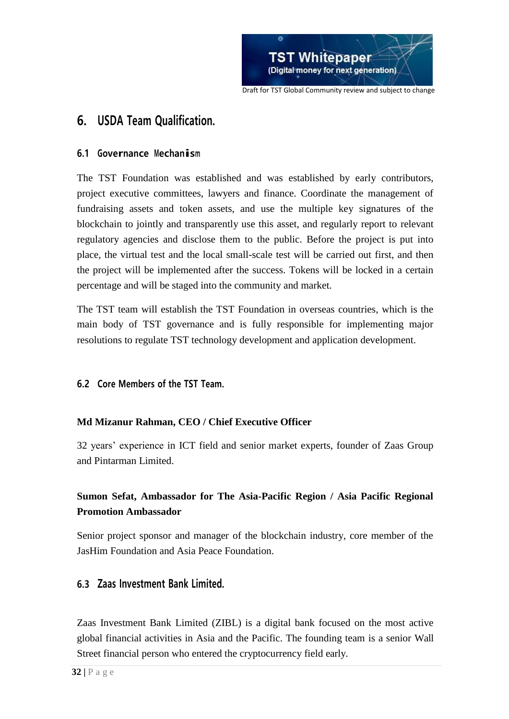

# **6. USDA Team Qualification.**

### **6.1 Governance Mechanism**

The TST Foundation was established and was established by early contributors, project executive committees, lawyers and finance. Coordinate the management of fundraising assets and token assets, and use the multiple key signatures of the blockchain to jointly and transparently use this asset, and regularly report to relevant regulatory agencies and disclose them to the public. Before the project is put into place, the virtual test and the local small-scale test will be carried out first, and then the project will be implemented after the success. Tokens will be locked in a certain percentage and will be staged into the community and market.

The TST team will establish the TST Foundation in overseas countries, which is the main body of TST governance and is fully responsible for implementing major resolutions to regulate TST technology development and application development.

# **6.2 Core Members of the TST Team.**

# **Md Mizanur Rahman, CEO / Chief Executive Officer**

32 years' experience in ICT field and senior market experts, founder of Zaas Group and Pintarman Limited.

# **Sumon Sefat, Ambassador for The Asia-Pacific Region / Asia Pacific Regional Promotion Ambassador**

Senior project sponsor and manager of the blockchain industry, core member of the JasHim Foundation and Asia Peace Foundation.

# **6.3 Zaas Investment Bank Limited.**

Zaas Investment Bank Limited (ZIBL) is a digital bank focused on the most active global financial activities in Asia and the Pacific. The founding team is a senior Wall Street financial person who entered the cryptocurrency field early.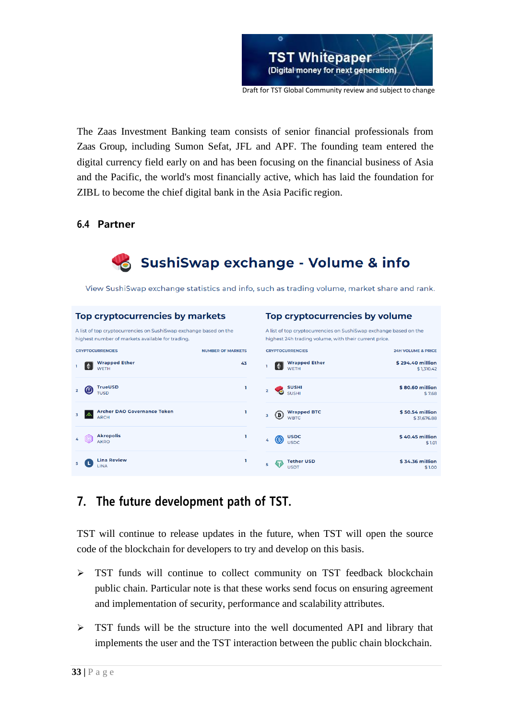

The Zaas Investment Banking team consists of senior financial professionals from Zaas Group, including Sumon Sefat, JFL and APF. The founding team entered the digital currency field early on and has been focusing on the financial business of Asia and the Pacific, the world's most financially active, which has laid the foundation for ZIBL to become the chief digital bank in the Asia Pacific region.

### **6.4 Partner**



View SushiSwap exchange statistics and info, such as trading volume, market share and rank.



# **7. The future development path of TST.**

TST will continue to release updates in the future, when TST will open the source code of the blockchain for developers to try and develop on this basis.

- > TST funds will continue to collect community on TST feedback blockchain public chain. Particular note is that these works send focus on ensuring agreement and implementation of security, performance and scalability attributes.
- $\triangleright$  TST funds will be the structure into the well documented API and library that implements the user and the TST interaction between the public chain blockchain.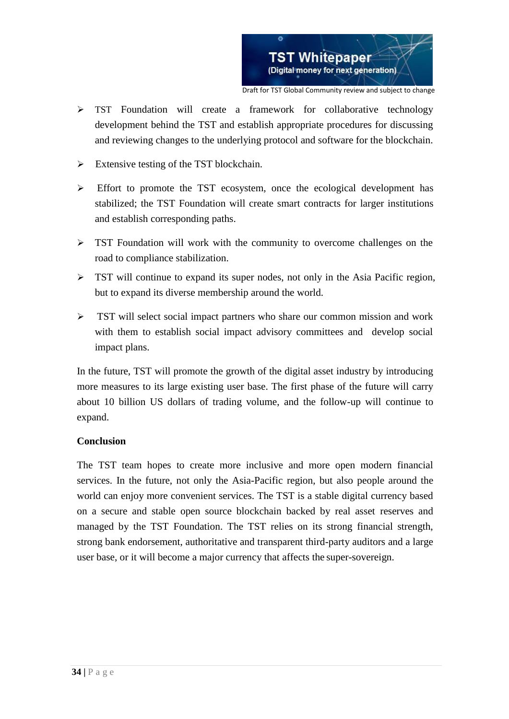

- > TST Foundation will create a framework for collaborative technology development behind the TST and establish appropriate procedures for discussing and reviewing changes to the underlying protocol and software for the blockchain.
- $\triangleright$  Extensive testing of the TST blockchain.
- $\triangleright$  Effort to promote the TST ecosystem, once the ecological development has stabilized; the TST Foundation will create smart contracts for larger institutions and establish corresponding paths.
- $\triangleright$  TST Foundation will work with the community to overcome challenges on the road to compliance stabilization.
- $\triangleright$  TST will continue to expand its super nodes, not only in the Asia Pacific region, but to expand its diverse membership around the world.
- $\triangleright$  TST will select social impact partners who share our common mission and work with them to establish social impact advisory committees and develop social impact plans.

In the future, TST will promote the growth of the digital asset industry by introducing more measures to its large existing user base. The first phase of the future will carry about 10 billion US dollars of trading volume, and the follow-up will continue to expand.

#### **Conclusion**

The TST team hopes to create more inclusive and more open modern financial services. In the future, not only the Asia-Pacific region, but also people around the world can enjoy more convenient services. The TST is a stable digital currency based on a secure and stable open source blockchain backed by real asset reserves and managed by the TST Foundation. The TST relies on its strong financial strength, strong bank endorsement, authoritative and transparent third-party auditors and a large user base, or it will become a major currency that affects the super-sovereign.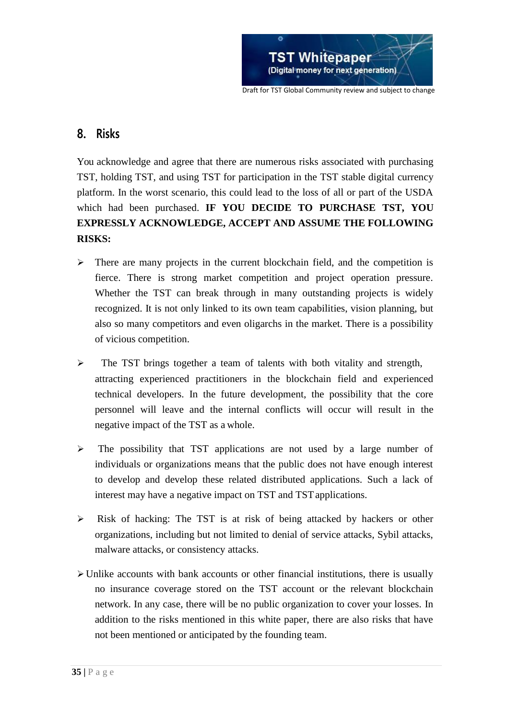

# **8. Risks**

You acknowledge and agree that there are numerous risks associated with purchasing TST, holding TST, and using TST for participation in the TST stable digital currency platform. In the worst scenario, this could lead to the loss of all or part of the USDA which had been purchased. **IF YOU DECIDE TO PURCHASE TST, YOU EXPRESSLY ACKNOWLEDGE, ACCEPT AND ASSUME THE FOLLOWING RISKS:**

- $\triangleright$  There are many projects in the current blockchain field, and the competition is fierce. There is strong market competition and project operation pressure. Whether the TST can break through in many outstanding projects is widely recognized. It is not only linked to its own team capabilities, vision planning, but also so many competitors and even oligarchs in the market. There is a possibility of vicious competition.
- > The TST brings together a team of talents with both vitality and strength, attracting experienced practitioners in the blockchain field and experienced technical developers. In the future development, the possibility that the core personnel will leave and the internal conflicts will occur will result in the negative impact of the TST as a whole.
- $\triangleright$  The possibility that TST applications are not used by a large number of individuals or organizations means that the public does not have enough interest to develop and develop these related distributed applications. Such a lack of interest may have a negative impact on TST and TST applications.
- $\triangleright$  Risk of hacking: The TST is at risk of being attacked by hackers or other organizations, including but not limited to denial of service attacks, Sybil attacks, malware attacks, or consistency attacks.
- $\triangleright$  Unlike accounts with bank accounts or other financial institutions, there is usually no insurance coverage stored on the TST account or the relevant blockchain network. In any case, there will be no public organization to cover your losses. In addition to the risks mentioned in this white paper, there are also risks that have not been mentioned or anticipated by the founding team.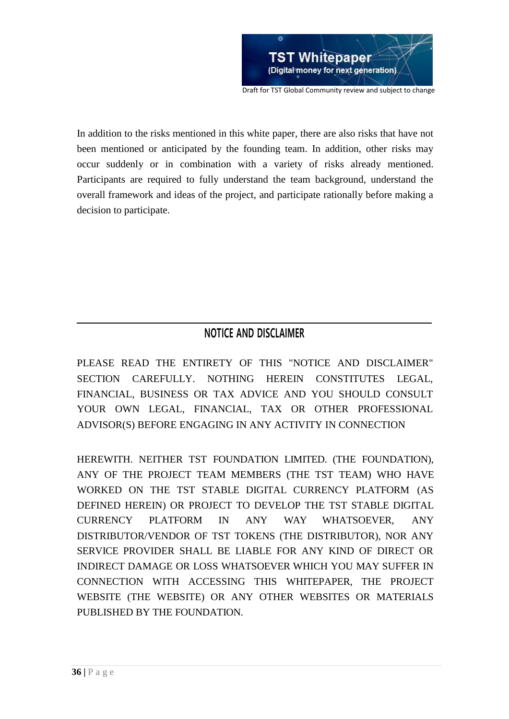

In addition to the risks mentioned in this white paper, there are also risks that have not been mentioned or anticipated by the founding team. In addition, other risks may occur suddenly or in combination with a variety of risks already mentioned. Participants are required to fully understand the team background, understand the overall framework and ideas of the project, and participate rationally before making a decision to participate.

# **NOTICE AND DISCLAIMER**

PLEASE READ THE ENTIRETY OF THIS "NOTICE AND DISCLAIMER" SECTION CAREFULLY. NOTHING HEREIN CONSTITUTES LEGAL, FINANCIAL, BUSINESS OR TAX ADVICE AND YOU SHOULD CONSULT YOUR OWN LEGAL, FINANCIAL, TAX OR OTHER PROFESSIONAL ADVISOR(S) BEFORE ENGAGING IN ANY ACTIVITY IN CONNECTION

HEREWITH. NEITHER TST FOUNDATION LIMITED. (THE FOUNDATION), ANY OF THE PROJECT TEAM MEMBERS (THE TST TEAM) WHO HAVE WORKED ON THE TST STABLE DIGITAL CURRENCY PLATFORM (AS DEFINED HEREIN) OR PROJECT TO DEVELOP THE TST STABLE DIGITAL CURRENCY PLATFORM IN ANY WAY WHATSOEVER, ANY DISTRIBUTOR/VENDOR OF TST TOKENS (THE DISTRIBUTOR), NOR ANY SERVICE PROVIDER SHALL BE LIABLE FOR ANY KIND OF DIRECT OR INDIRECT DAMAGE OR LOSS WHATSOEVER WHICH YOU MAY SUFFER IN CONNECTION WITH ACCESSING THIS WHITEPAPER, THE PROJECT WEBSITE (THE WEBSITE) OR ANY OTHER WEBSITES OR MATERIALS PUBLISHED BY THE FOUNDATION.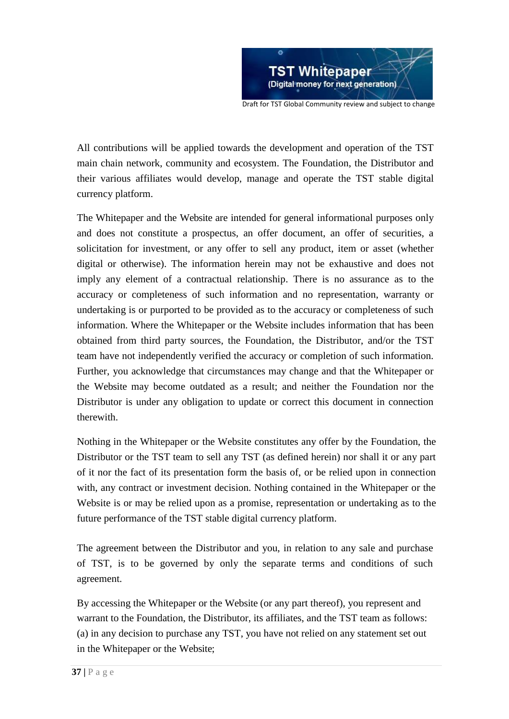

All contributions will be applied towards the development and operation of the TST main chain network, community and ecosystem. The Foundation, the Distributor and their various affiliates would develop, manage and operate the TST stable digital currency platform.

The Whitepaper and the Website are intended for general informational purposes only and does not constitute a prospectus, an offer document, an offer of securities, a solicitation for investment, or any offer to sell any product, item or asset (whether digital or otherwise). The information herein may not be exhaustive and does not imply any element of a contractual relationship. There is no assurance as to the accuracy or completeness of such information and no representation, warranty or undertaking is or purported to be provided as to the accuracy or completeness of such information. Where the Whitepaper or the Website includes information that has been obtained from third party sources, the Foundation, the Distributor, and/or the TST team have not independently verified the accuracy or completion of such information. Further, you acknowledge that circumstances may change and that the Whitepaper or the Website may become outdated as a result; and neither the Foundation nor the Distributor is under any obligation to update or correct this document in connection therewith.

Nothing in the Whitepaper or the Website constitutes any offer by the Foundation, the Distributor or the TST team to sell any TST (as defined herein) nor shall it or any part of it nor the fact of its presentation form the basis of, or be relied upon in connection with, any contract or investment decision. Nothing contained in the Whitepaper or the Website is or may be relied upon as a promise, representation or undertaking as to the future performance of the TST stable digital currency platform.

The agreement between the Distributor and you, in relation to any sale and purchase of TST, is to be governed by only the separate terms and conditions of such agreement.

By accessing the Whitepaper or the Website (or any part thereof), you represent and warrant to the Foundation, the Distributor, its affiliates, and the TST team as follows: (a) in any decision to purchase any TST, you have not relied on any statement set out in the Whitepaper or the Website;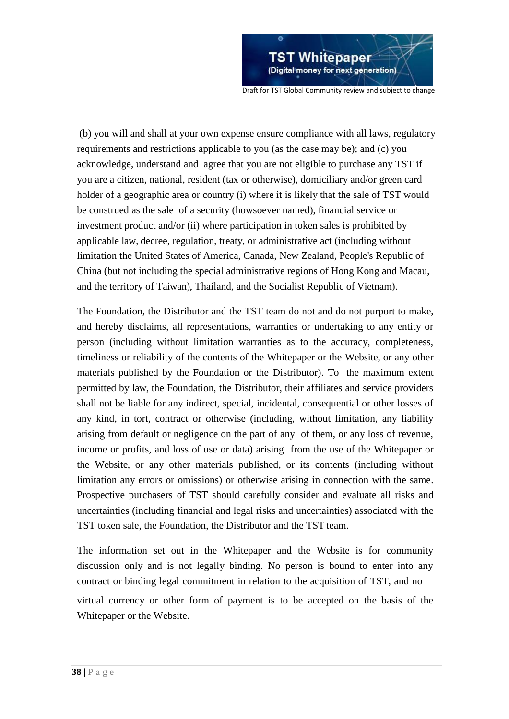

(b) you will and shall at your own expense ensure compliance with all laws, regulatory requirements and restrictions applicable to you (as the case may be); and (c) you acknowledge, understand and agree that you are not eligible to purchase any TST if you are a citizen, national, resident (tax or otherwise), domiciliary and/or green card holder of a geographic area or country (i) where it is likely that the sale of TST would be construed as the sale of a security (howsoever named), financial service or investment product and/or (ii) where participation in token sales is prohibited by applicable law, decree, regulation, treaty, or administrative act (including without limitation the United States of America, Canada, New Zealand, People's Republic of China (but not including the special administrative regions of Hong Kong and Macau, and the territory of Taiwan), Thailand, and the Socialist Republic of Vietnam).

The Foundation, the Distributor and the TST team do not and do not purport to make, and hereby disclaims, all representations, warranties or undertaking to any entity or person (including without limitation warranties as to the accuracy, completeness, timeliness or reliability of the contents of the Whitepaper or the Website, or any other materials published by the Foundation or the Distributor). To the maximum extent permitted by law, the Foundation, the Distributor, their affiliates and service providers shall not be liable for any indirect, special, incidental, consequential or other losses of any kind, in tort, contract or otherwise (including, without limitation, any liability arising from default or negligence on the part of any of them, or any loss of revenue, income or profits, and loss of use or data) arising from the use of the Whitepaper or the Website, or any other materials published, or its contents (including without limitation any errors or omissions) or otherwise arising in connection with the same. Prospective purchasers of TST should carefully consider and evaluate all risks and uncertainties (including financial and legal risks and uncertainties) associated with the TST token sale, the Foundation, the Distributor and the TST team.

The information set out in the Whitepaper and the Website is for community discussion only and is not legally binding. No person is bound to enter into any contract or binding legal commitment in relation to the acquisition of TST, and no

virtual currency or other form of payment is to be accepted on the basis of the Whitepaper or the Website.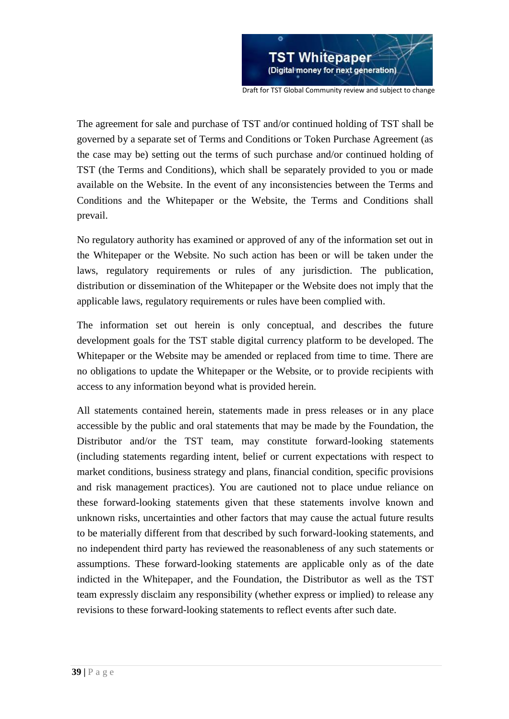

The agreement for sale and purchase of TST and/or continued holding of TST shall be governed by a separate set of Terms and Conditions or Token Purchase Agreement (as the case may be) setting out the terms of such purchase and/or continued holding of TST (the Terms and Conditions), which shall be separately provided to you or made available on the Website. In the event of any inconsistencies between the Terms and Conditions and the Whitepaper or the Website, the Terms and Conditions shall prevail.

No regulatory authority has examined or approved of any of the information set out in the Whitepaper or the Website. No such action has been or will be taken under the laws, regulatory requirements or rules of any jurisdiction. The publication, distribution or dissemination of the Whitepaper or the Website does not imply that the applicable laws, regulatory requirements or rules have been complied with.

The information set out herein is only conceptual, and describes the future development goals for the TST stable digital currency platform to be developed. The Whitepaper or the Website may be amended or replaced from time to time. There are no obligations to update the Whitepaper or the Website, or to provide recipients with access to any information beyond what is provided herein.

All statements contained herein, statements made in press releases or in any place accessible by the public and oral statements that may be made by the Foundation, the Distributor and/or the TST team, may constitute forward-looking statements (including statements regarding intent, belief or current expectations with respect to market conditions, business strategy and plans, financial condition, specific provisions and risk management practices). You are cautioned not to place undue reliance on these forward-looking statements given that these statements involve known and unknown risks, uncertainties and other factors that may cause the actual future results to be materially different from that described by such forward-looking statements, and no independent third party has reviewed the reasonableness of any such statements or assumptions. These forward-looking statements are applicable only as of the date indicted in the Whitepaper, and the Foundation, the Distributor as well as the TST team expressly disclaim any responsibility (whether express or implied) to release any revisions to these forward-looking statements to reflect events after such date.